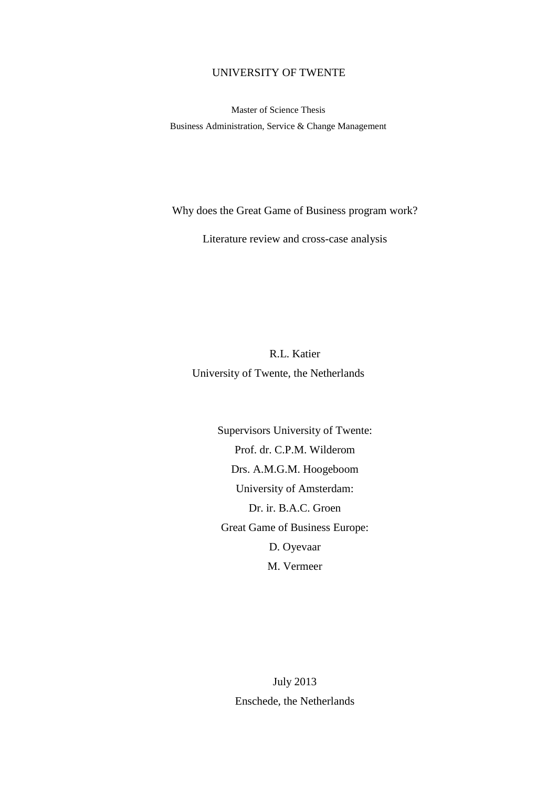## UNIVERSITY OF TWENTE

Master of Science Thesis Business Administration, Service & Change Management

Why does the Great Game of Business program work?

Literature review and cross-case analysis

R.L. Katier University of Twente, the Netherlands

> Supervisors University of Twente: Prof. dr. C.P.M. Wilderom Drs. A.M.G.M. Hoogeboom University of Amsterdam: Dr. ir. B.A.C. Groen Great Game of Business Europe: D. Oyevaar M. Vermeer

> > July 2013 Enschede, the Netherlands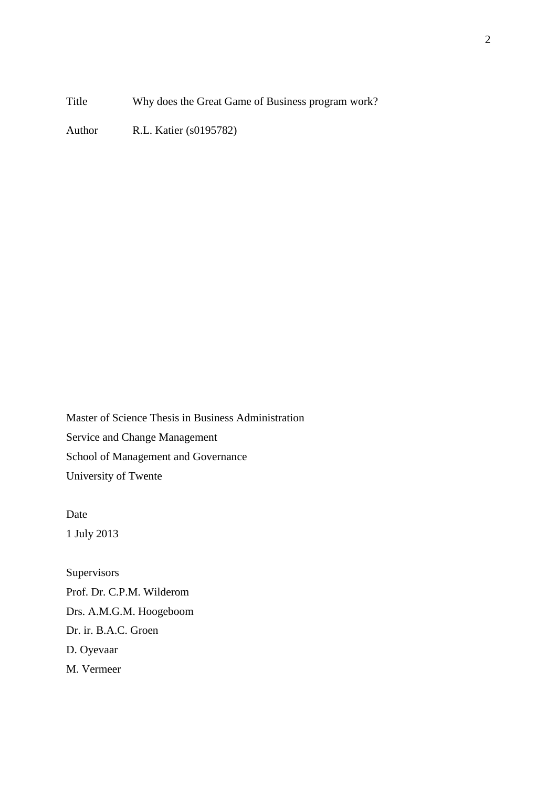Title Why does the Great Game of Business program work?

Author R.L. Katier (s0195782)

Master of Science Thesis in Business Administration Service and Change Management School of Management and Governance University of Twente

Date 1 July 2013

**Supervisors** Prof. Dr. C.P.M. Wilderom Drs. A.M.G.M. Hoogeboom Dr. ir. B.A.C. Groen D. Oyevaar M. Vermeer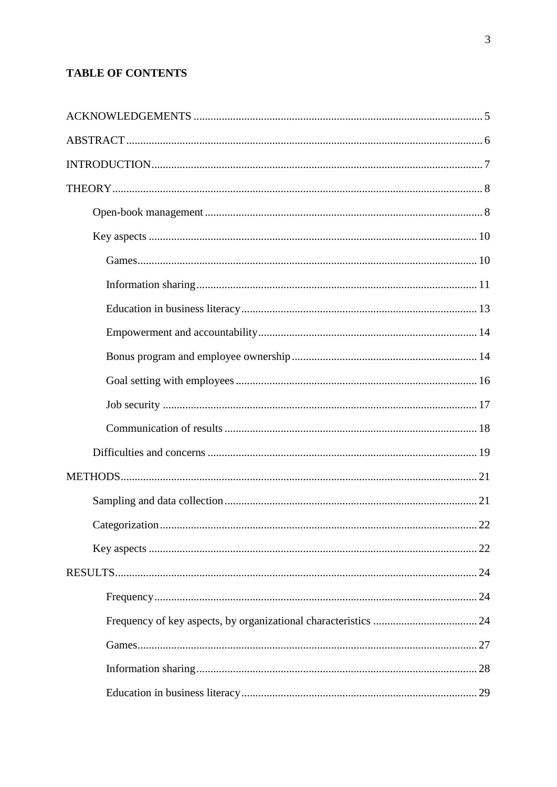# **TABLE OF CONTENTS**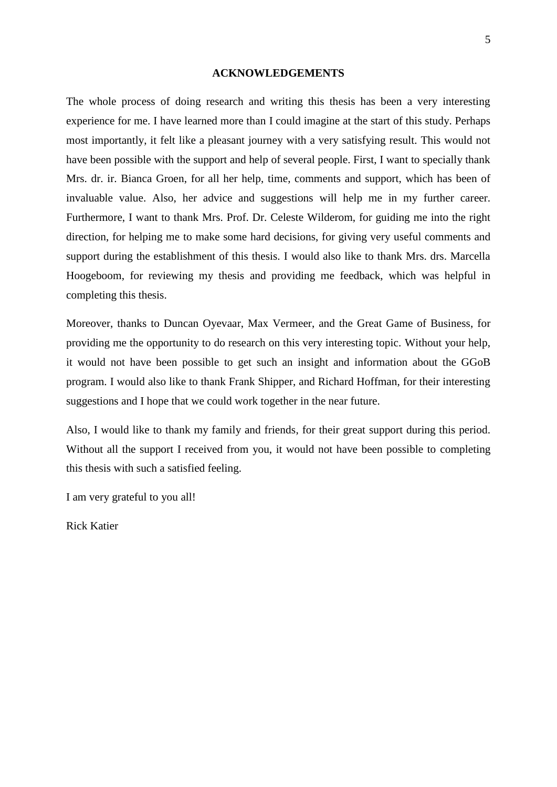#### **ACKNOWLEDGEMENTS**

<span id="page-4-0"></span>The whole process of doing research and writing this thesis has been a very interesting experience for me. I have learned more than I could imagine at the start of this study. Perhaps most importantly, it felt like a pleasant journey with a very satisfying result. This would not have been possible with the support and help of several people. First, I want to specially thank Mrs. dr. ir. Bianca Groen, for all her help, time, comments and support, which has been of invaluable value. Also, her advice and suggestions will help me in my further career. Furthermore, I want to thank Mrs. Prof. Dr. Celeste Wilderom, for guiding me into the right direction, for helping me to make some hard decisions, for giving very useful comments and support during the establishment of this thesis. I would also like to thank Mrs. drs. Marcella Hoogeboom, for reviewing my thesis and providing me feedback, which was helpful in completing this thesis.

Moreover, thanks to Duncan Oyevaar, Max Vermeer, and the Great Game of Business, for providing me the opportunity to do research on this very interesting topic. Without your help, it would not have been possible to get such an insight and information about the GGoB program. I would also like to thank Frank Shipper, and Richard Hoffman, for their interesting suggestions and I hope that we could work together in the near future.

Also, I would like to thank my family and friends, for their great support during this period. Without all the support I received from you, it would not have been possible to completing this thesis with such a satisfied feeling.

I am very grateful to you all!

Rick Katier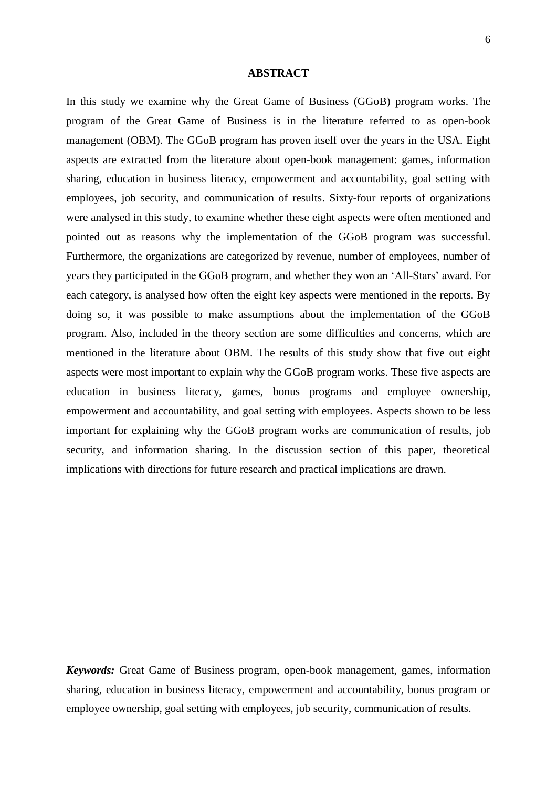#### **ABSTRACT**

<span id="page-5-0"></span>In this study we examine why the Great Game of Business (GGoB) program works. The program of the Great Game of Business is in the literature referred to as open-book management (OBM). The GGoB program has proven itself over the years in the USA. Eight aspects are extracted from the literature about open-book management: games, information sharing, education in business literacy, empowerment and accountability, goal setting with employees, job security, and communication of results. Sixty-four reports of organizations were analysed in this study, to examine whether these eight aspects were often mentioned and pointed out as reasons why the implementation of the GGoB program was successful. Furthermore, the organizations are categorized by revenue, number of employees, number of years they participated in the GGoB program, and whether they won an ‗All-Stars' award. For each category, is analysed how often the eight key aspects were mentioned in the reports. By doing so, it was possible to make assumptions about the implementation of the GGoB program. Also, included in the theory section are some difficulties and concerns, which are mentioned in the literature about OBM. The results of this study show that five out eight aspects were most important to explain why the GGoB program works. These five aspects are education in business literacy, games, bonus programs and employee ownership, empowerment and accountability, and goal setting with employees. Aspects shown to be less important for explaining why the GGoB program works are communication of results, job security, and information sharing. In the discussion section of this paper, theoretical implications with directions for future research and practical implications are drawn.

*Keywords:* Great Game of Business program, open-book management, games, information sharing, education in business literacy, empowerment and accountability, bonus program or employee ownership, goal setting with employees, job security, communication of results.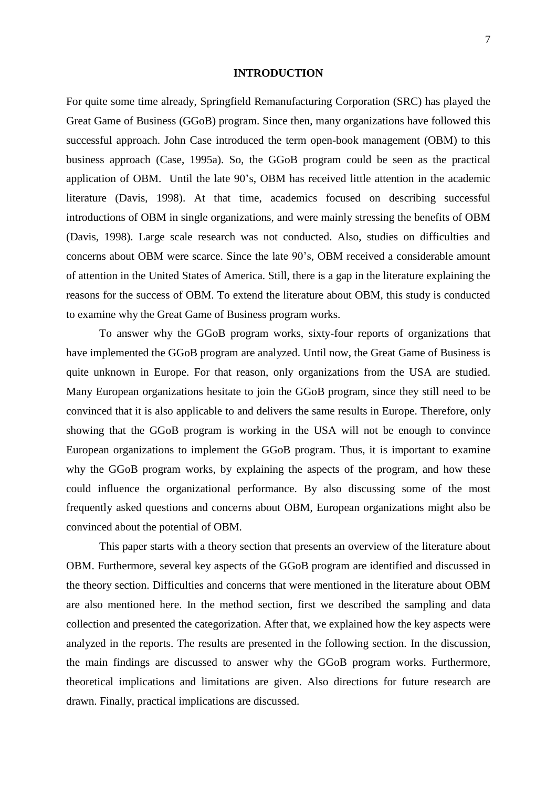#### **INTRODUCTION**

<span id="page-6-0"></span>For quite some time already, Springfield Remanufacturing Corporation (SRC) has played the Great Game of Business (GGoB) program. Since then, many organizations have followed this successful approach. John Case introduced the term open-book management (OBM) to this business approach (Case, 1995a). So, the GGoB program could be seen as the practical application of OBM. Until the late 90's, OBM has received little attention in the academic literature (Davis, 1998). At that time, academics focused on describing successful introductions of OBM in single organizations, and were mainly stressing the benefits of OBM (Davis, 1998). Large scale research was not conducted. Also, studies on difficulties and concerns about OBM were scarce. Since the late 90's, OBM received a considerable amount of attention in the United States of America. Still, there is a gap in the literature explaining the reasons for the success of OBM. To extend the literature about OBM, this study is conducted to examine why the Great Game of Business program works.

To answer why the GGoB program works, sixty-four reports of organizations that have implemented the GGoB program are analyzed. Until now, the Great Game of Business is quite unknown in Europe. For that reason, only organizations from the USA are studied. Many European organizations hesitate to join the GGoB program, since they still need to be convinced that it is also applicable to and delivers the same results in Europe. Therefore, only showing that the GGoB program is working in the USA will not be enough to convince European organizations to implement the GGoB program. Thus, it is important to examine why the GGoB program works, by explaining the aspects of the program, and how these could influence the organizational performance. By also discussing some of the most frequently asked questions and concerns about OBM, European organizations might also be convinced about the potential of OBM.

This paper starts with a theory section that presents an overview of the literature about OBM. Furthermore, several key aspects of the GGoB program are identified and discussed in the theory section. Difficulties and concerns that were mentioned in the literature about OBM are also mentioned here. In the method section, first we described the sampling and data collection and presented the categorization. After that, we explained how the key aspects were analyzed in the reports. The results are presented in the following section. In the discussion, the main findings are discussed to answer why the GGoB program works. Furthermore, theoretical implications and limitations are given. Also directions for future research are drawn. Finally, practical implications are discussed.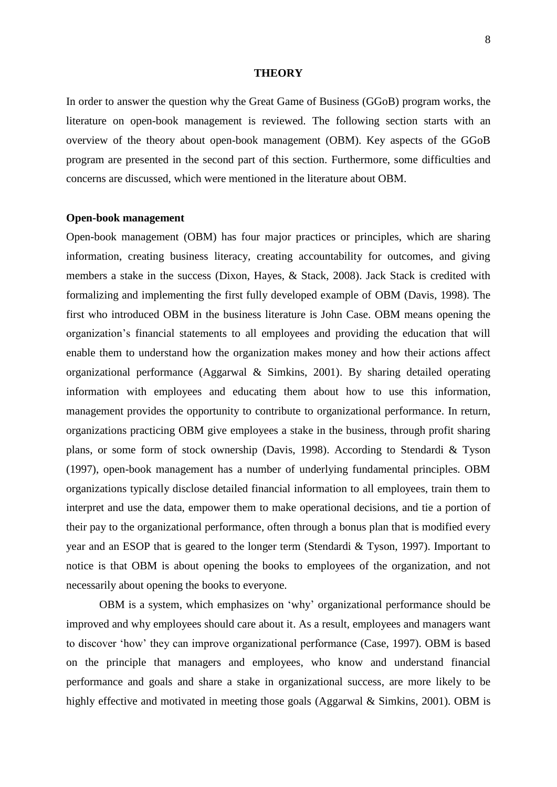#### **THEORY**

<span id="page-7-0"></span>In order to answer the question why the Great Game of Business (GGoB) program works, the literature on open-book management is reviewed. The following section starts with an overview of the theory about open-book management (OBM). Key aspects of the GGoB program are presented in the second part of this section. Furthermore, some difficulties and concerns are discussed, which were mentioned in the literature about OBM.

#### <span id="page-7-1"></span>**Open-book management**

Open-book management (OBM) has four major practices or principles, which are sharing information, creating business literacy, creating accountability for outcomes, and giving members a stake in the success (Dixon, Hayes, & Stack, 2008). Jack Stack is credited with formalizing and implementing the first fully developed example of OBM (Davis, 1998). The first who introduced OBM in the business literature is John Case. OBM means opening the organization's financial statements to all employees and providing the education that will enable them to understand how the organization makes money and how their actions affect organizational performance (Aggarwal & Simkins, 2001). By sharing detailed operating information with employees and educating them about how to use this information, management provides the opportunity to contribute to organizational performance. In return, organizations practicing OBM give employees a stake in the business, through profit sharing plans, or some form of stock ownership (Davis, 1998). According to Stendardi & Tyson (1997), open-book management has a number of underlying fundamental principles. OBM organizations typically disclose detailed financial information to all employees, train them to interpret and use the data, empower them to make operational decisions, and tie a portion of their pay to the organizational performance, often through a bonus plan that is modified every year and an ESOP that is geared to the longer term (Stendardi & Tyson, 1997). Important to notice is that OBM is about opening the books to employees of the organization, and not necessarily about opening the books to everyone.

OBM is a system, which emphasizes on 'why' organizational performance should be improved and why employees should care about it. As a result, employees and managers want to discover ‗how' they can improve organizational performance (Case, 1997). OBM is based on the principle that managers and employees, who know and understand financial performance and goals and share a stake in organizational success, are more likely to be highly effective and motivated in meeting those goals (Aggarwal & Simkins, 2001). OBM is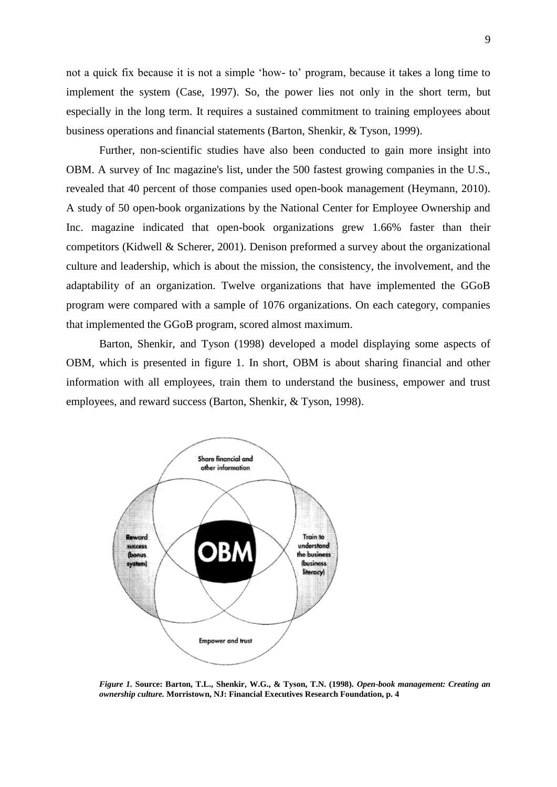not a quick fix because it is not a simple 'how- to' program, because it takes a long time to implement the system (Case, 1997). So, the power lies not only in the short term, but especially in the long term. It requires a sustained commitment to training employees about business operations and financial statements (Barton, Shenkir, & Tyson, 1999).

Further, non-scientific studies have also been conducted to gain more insight into OBM. A survey of Inc magazine's list, under the 500 fastest growing companies in the U.S., revealed that 40 percent of those companies used open-book management (Heymann, 2010). A study of 50 open-book organizations by the National Center for Employee Ownership and Inc. magazine indicated that open-book organizations grew 1.66% faster than their competitors (Kidwell & Scherer, 2001). Denison preformed a survey about the organizational culture and leadership, which is about the mission, the consistency, the involvement, and the adaptability of an organization. Twelve organizations that have implemented the GGoB program were compared with a sample of 1076 organizations. On each category, companies that implemented the GGoB program, scored almost maximum.

Barton, Shenkir, and Tyson (1998) developed a model displaying some aspects of OBM, which is presented in figure 1. In short, OBM is about sharing financial and other information with all employees, train them to understand the business, empower and trust employees, and reward success (Barton, Shenkir, & Tyson, 1998).



*Figure 1.* **Source: Barton, T.L., Shenkir, W.G., & Tyson, T.N. (1998).** *Open-book management: Creating an ownership culture.* **Morristown, NJ: Financial Executives Research Foundation, p. 4**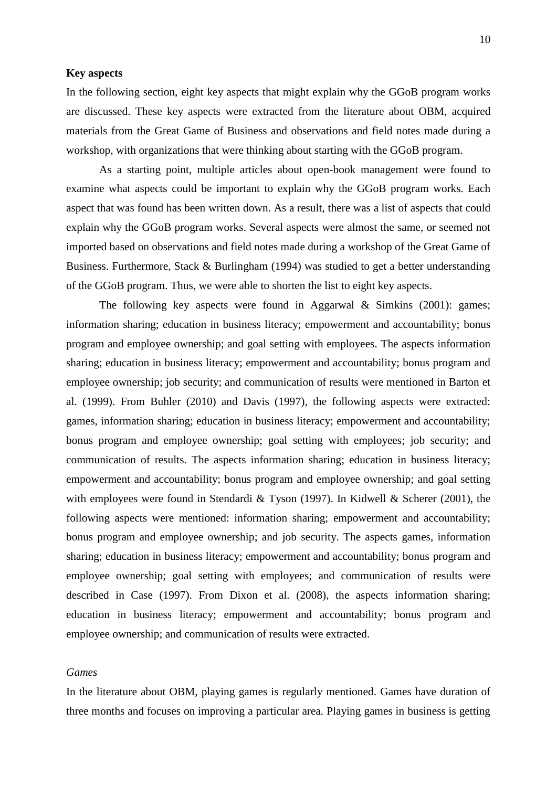## <span id="page-9-0"></span>**Key aspects**

In the following section, eight key aspects that might explain why the GGoB program works are discussed. These key aspects were extracted from the literature about OBM, acquired materials from the Great Game of Business and observations and field notes made during a workshop, with organizations that were thinking about starting with the GGoB program.

As a starting point, multiple articles about open-book management were found to examine what aspects could be important to explain why the GGoB program works. Each aspect that was found has been written down. As a result, there was a list of aspects that could explain why the GGoB program works. Several aspects were almost the same, or seemed not imported based on observations and field notes made during a workshop of the Great Game of Business. Furthermore, Stack & Burlingham (1994) was studied to get a better understanding of the GGoB program. Thus, we were able to shorten the list to eight key aspects.

The following key aspects were found in Aggarwal & Simkins (2001): games; information sharing; education in business literacy; empowerment and accountability; bonus program and employee ownership; and goal setting with employees. The aspects information sharing; education in business literacy; empowerment and accountability; bonus program and employee ownership; job security; and communication of results were mentioned in Barton et al. (1999). From Buhler (2010) and Davis (1997), the following aspects were extracted: games, information sharing; education in business literacy; empowerment and accountability; bonus program and employee ownership; goal setting with employees; job security; and communication of results. The aspects information sharing; education in business literacy; empowerment and accountability; bonus program and employee ownership; and goal setting with employees were found in Stendardi & Tyson (1997). In Kidwell & Scherer (2001), the following aspects were mentioned: information sharing; empowerment and accountability; bonus program and employee ownership; and job security. The aspects games, information sharing; education in business literacy; empowerment and accountability; bonus program and employee ownership; goal setting with employees; and communication of results were described in Case (1997). From Dixon et al. (2008), the aspects information sharing; education in business literacy; empowerment and accountability; bonus program and employee ownership; and communication of results were extracted.

## <span id="page-9-1"></span>*Games*

In the literature about OBM, playing games is regularly mentioned. Games have duration of three months and focuses on improving a particular area. Playing games in business is getting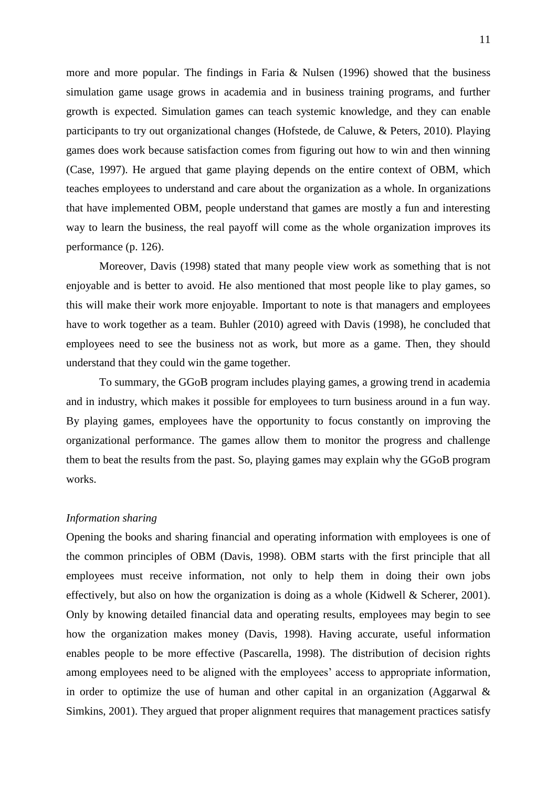more and more popular. The findings in Faria & Nulsen (1996) showed that the business simulation game usage grows in academia and in business training programs, and further growth is expected. Simulation games can teach systemic knowledge, and they can enable participants to try out organizational changes (Hofstede, de Caluwe, & Peters, 2010). Playing games does work because satisfaction comes from figuring out how to win and then winning (Case, 1997). He argued that game playing depends on the entire context of OBM, which teaches employees to understand and care about the organization as a whole. In organizations that have implemented OBM, people understand that games are mostly a fun and interesting way to learn the business, the real payoff will come as the whole organization improves its performance (p. 126).

Moreover, Davis (1998) stated that many people view work as something that is not enjoyable and is better to avoid. He also mentioned that most people like to play games, so this will make their work more enjoyable. Important to note is that managers and employees have to work together as a team. Buhler (2010) agreed with Davis (1998), he concluded that employees need to see the business not as work, but more as a game. Then, they should understand that they could win the game together.

To summary, the GGoB program includes playing games, a growing trend in academia and in industry, which makes it possible for employees to turn business around in a fun way. By playing games, employees have the opportunity to focus constantly on improving the organizational performance. The games allow them to monitor the progress and challenge them to beat the results from the past. So, playing games may explain why the GGoB program works.

## <span id="page-10-0"></span>*Information sharing*

Opening the books and sharing financial and operating information with employees is one of the common principles of OBM (Davis, 1998). OBM starts with the first principle that all employees must receive information, not only to help them in doing their own jobs effectively, but also on how the organization is doing as a whole (Kidwell & Scherer, 2001). Only by knowing detailed financial data and operating results, employees may begin to see how the organization makes money (Davis, 1998). Having accurate, useful information enables people to be more effective (Pascarella, 1998). The distribution of decision rights among employees need to be aligned with the employees' access to appropriate information, in order to optimize the use of human and other capital in an organization (Aggarwal  $\&$ Simkins, 2001). They argued that proper alignment requires that management practices satisfy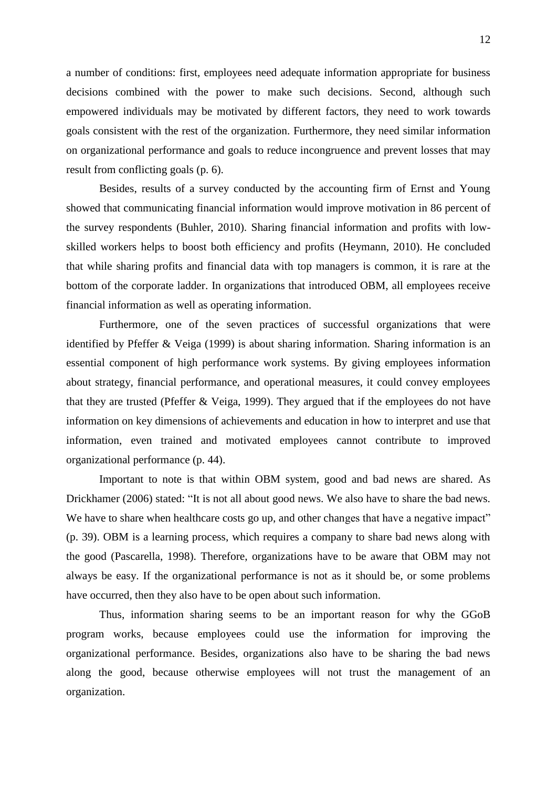a number of conditions: first, employees need adequate information appropriate for business decisions combined with the power to make such decisions. Second, although such empowered individuals may be motivated by different factors, they need to work towards goals consistent with the rest of the organization. Furthermore, they need similar information on organizational performance and goals to reduce incongruence and prevent losses that may result from conflicting goals (p. 6).

Besides, results of a survey conducted by the accounting firm of Ernst and Young showed that communicating financial information would improve motivation in 86 percent of the survey respondents (Buhler, 2010). Sharing financial information and profits with lowskilled workers helps to boost both efficiency and profits (Heymann, 2010). He concluded that while sharing profits and financial data with top managers is common, it is rare at the bottom of the corporate ladder. In organizations that introduced OBM, all employees receive financial information as well as operating information.

Furthermore, one of the seven practices of successful organizations that were identified by Pfeffer & Veiga (1999) is about sharing information. Sharing information is an essential component of high performance work systems. By giving employees information about strategy, financial performance, and operational measures, it could convey employees that they are trusted (Pfeffer & Veiga, 1999). They argued that if the employees do not have information on key dimensions of achievements and education in how to interpret and use that information, even trained and motivated employees cannot contribute to improved organizational performance (p. 44).

Important to note is that within OBM system, good and bad news are shared. As Drickhamer (2006) stated: "It is not all about good news. We also have to share the bad news. We have to share when healthcare costs go up, and other changes that have a negative impact" (p. 39). OBM is a learning process, which requires a company to share bad news along with the good (Pascarella, 1998). Therefore, organizations have to be aware that OBM may not always be easy. If the organizational performance is not as it should be, or some problems have occurred, then they also have to be open about such information.

Thus, information sharing seems to be an important reason for why the GGoB program works, because employees could use the information for improving the organizational performance. Besides, organizations also have to be sharing the bad news along the good, because otherwise employees will not trust the management of an organization.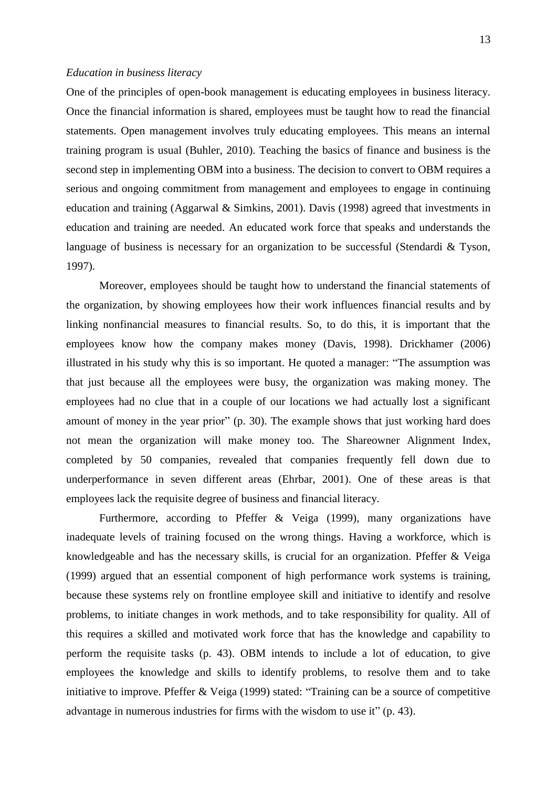#### <span id="page-12-0"></span>*Education in business literacy*

One of the principles of open-book management is educating employees in business literacy. Once the financial information is shared, employees must be taught how to read the financial statements. Open management involves truly educating employees. This means an internal training program is usual (Buhler, 2010). Teaching the basics of finance and business is the second step in implementing OBM into a business. The decision to convert to OBM requires a serious and ongoing commitment from management and employees to engage in continuing education and training (Aggarwal & Simkins, 2001). Davis (1998) agreed that investments in education and training are needed. An educated work force that speaks and understands the language of business is necessary for an organization to be successful (Stendardi & Tyson, 1997).

Moreover, employees should be taught how to understand the financial statements of the organization, by showing employees how their work influences financial results and by linking nonfinancial measures to financial results. So, to do this, it is important that the employees know how the company makes money (Davis, 1998). Drickhamer (2006) illustrated in his study why this is so important. He quoted a manager: "The assumption was that just because all the employees were busy, the organization was making money. The employees had no clue that in a couple of our locations we had actually lost a significant amount of money in the year prior" (p. 30). The example shows that just working hard does not mean the organization will make money too. The Shareowner Alignment Index, completed by 50 companies, revealed that companies frequently fell down due to underperformance in seven different areas (Ehrbar, 2001). One of these areas is that employees lack the requisite degree of business and financial literacy.

Furthermore, according to Pfeffer & Veiga (1999), many organizations have inadequate levels of training focused on the wrong things. Having a workforce, which is knowledgeable and has the necessary skills, is crucial for an organization. Pfeffer & Veiga (1999) argued that an essential component of high performance work systems is training, because these systems rely on frontline employee skill and initiative to identify and resolve problems, to initiate changes in work methods, and to take responsibility for quality. All of this requires a skilled and motivated work force that has the knowledge and capability to perform the requisite tasks (p. 43). OBM intends to include a lot of education, to give employees the knowledge and skills to identify problems, to resolve them and to take initiative to improve. Pfeffer  $& \vee$  Veiga (1999) stated: "Training can be a source of competitive advantage in numerous industries for firms with the wisdom to use it" (p. 43).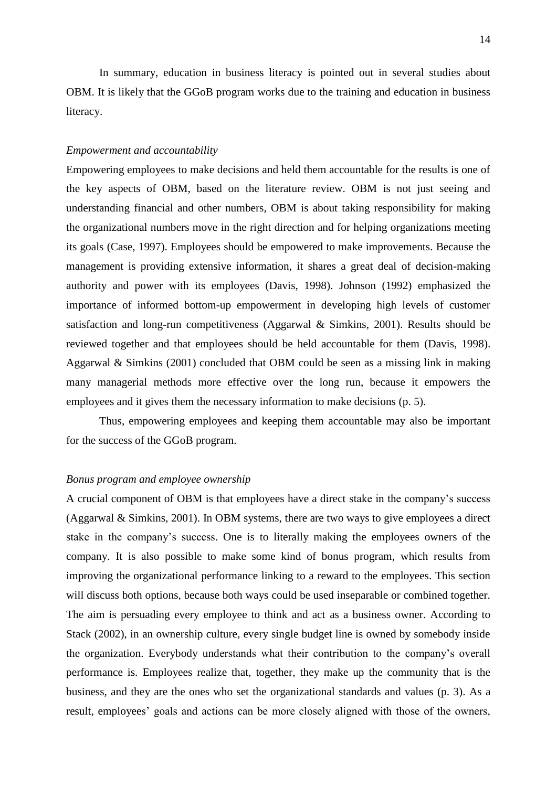In summary, education in business literacy is pointed out in several studies about OBM. It is likely that the GGoB program works due to the training and education in business literacy.

### <span id="page-13-0"></span>*Empowerment and accountability*

Empowering employees to make decisions and held them accountable for the results is one of the key aspects of OBM, based on the literature review. OBM is not just seeing and understanding financial and other numbers, OBM is about taking responsibility for making the organizational numbers move in the right direction and for helping organizations meeting its goals (Case, 1997). Employees should be empowered to make improvements. Because the management is providing extensive information, it shares a great deal of decision-making authority and power with its employees (Davis, 1998). Johnson (1992) emphasized the importance of informed bottom-up empowerment in developing high levels of customer satisfaction and long-run competitiveness (Aggarwal & Simkins, 2001). Results should be reviewed together and that employees should be held accountable for them (Davis, 1998). Aggarwal & Simkins (2001) concluded that OBM could be seen as a missing link in making many managerial methods more effective over the long run, because it empowers the employees and it gives them the necessary information to make decisions (p. 5).

Thus, empowering employees and keeping them accountable may also be important for the success of the GGoB program.

## <span id="page-13-1"></span>*Bonus program and employee ownership*

A crucial component of OBM is that employees have a direct stake in the company's success (Aggarwal & Simkins, 2001). In OBM systems, there are two ways to give employees a direct stake in the company's success. One is to literally making the employees owners of the company. It is also possible to make some kind of bonus program, which results from improving the organizational performance linking to a reward to the employees. This section will discuss both options, because both ways could be used inseparable or combined together. The aim is persuading every employee to think and act as a business owner. According to Stack (2002), in an ownership culture, every single budget line is owned by somebody inside the organization. Everybody understands what their contribution to the company's overall performance is. Employees realize that, together, they make up the community that is the business, and they are the ones who set the organizational standards and values (p. 3). As a result, employees' goals and actions can be more closely aligned with those of the owners,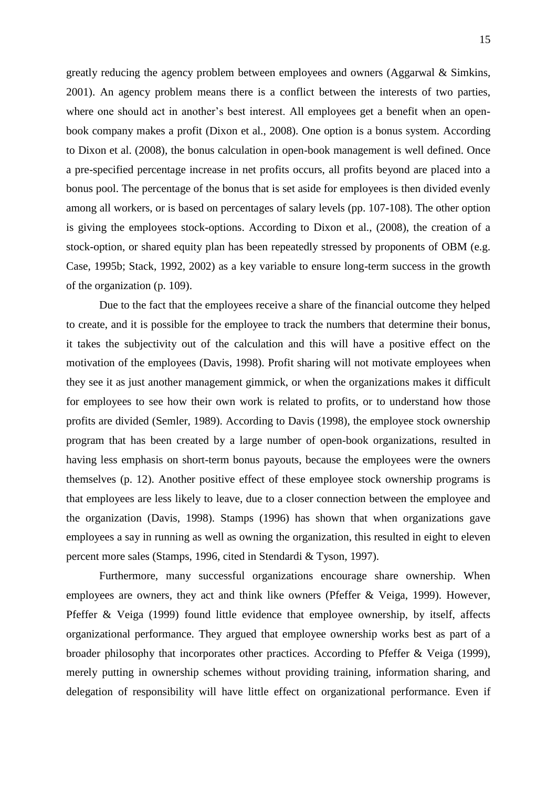greatly reducing the agency problem between employees and owners (Aggarwal & Simkins, 2001). An agency problem means there is a conflict between the interests of two parties, where one should act in another's best interest. All employees get a benefit when an openbook company makes a profit (Dixon et al., 2008). One option is a bonus system. According to Dixon et al. (2008), the bonus calculation in open-book management is well defined. Once a pre-specified percentage increase in net profits occurs, all profits beyond are placed into a bonus pool. The percentage of the bonus that is set aside for employees is then divided evenly among all workers, or is based on percentages of salary levels (pp. 107-108). The other option is giving the employees stock-options. According to Dixon et al., (2008), the creation of a stock-option, or shared equity plan has been repeatedly stressed by proponents of OBM (e.g. Case, 1995b; Stack, 1992, 2002) as a key variable to ensure long-term success in the growth of the organization (p. 109).

Due to the fact that the employees receive a share of the financial outcome they helped to create, and it is possible for the employee to track the numbers that determine their bonus, it takes the subjectivity out of the calculation and this will have a positive effect on the motivation of the employees (Davis, 1998). Profit sharing will not motivate employees when they see it as just another management gimmick, or when the organizations makes it difficult for employees to see how their own work is related to profits, or to understand how those profits are divided (Semler, 1989). According to Davis (1998), the employee stock ownership program that has been created by a large number of open-book organizations, resulted in having less emphasis on short-term bonus payouts, because the employees were the owners themselves (p. 12). Another positive effect of these employee stock ownership programs is that employees are less likely to leave, due to a closer connection between the employee and the organization (Davis, 1998). Stamps (1996) has shown that when organizations gave employees a say in running as well as owning the organization, this resulted in eight to eleven percent more sales (Stamps, 1996, cited in Stendardi & Tyson, 1997).

Furthermore, many successful organizations encourage share ownership. When employees are owners, they act and think like owners (Pfeffer & Veiga, 1999). However, Pfeffer & Veiga (1999) found little evidence that employee ownership, by itself, affects organizational performance. They argued that employee ownership works best as part of a broader philosophy that incorporates other practices. According to Pfeffer & Veiga (1999), merely putting in ownership schemes without providing training, information sharing, and delegation of responsibility will have little effect on organizational performance. Even if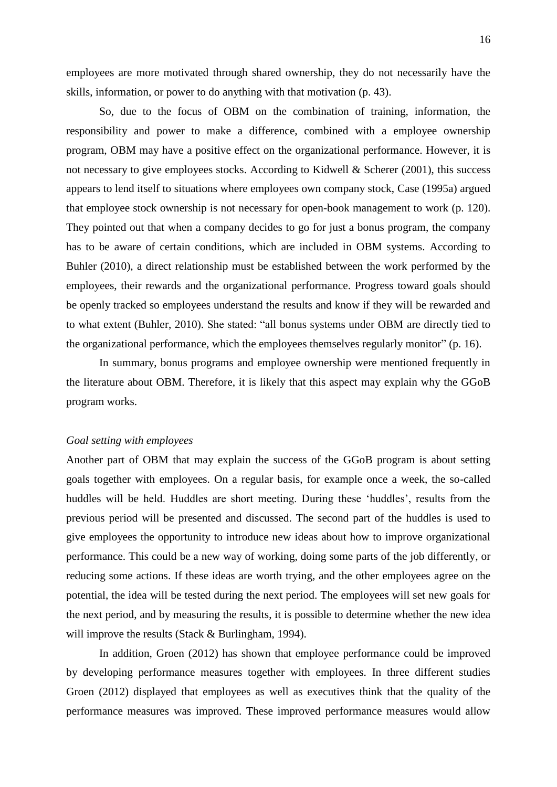employees are more motivated through shared ownership, they do not necessarily have the skills, information, or power to do anything with that motivation (p. 43).

So, due to the focus of OBM on the combination of training, information, the responsibility and power to make a difference, combined with a employee ownership program, OBM may have a positive effect on the organizational performance. However, it is not necessary to give employees stocks. According to Kidwell & Scherer (2001), this success appears to lend itself to situations where employees own company stock, Case (1995a) argued that employee stock ownership is not necessary for open-book management to work (p. 120). They pointed out that when a company decides to go for just a bonus program, the company has to be aware of certain conditions, which are included in OBM systems. According to Buhler (2010), a direct relationship must be established between the work performed by the employees, their rewards and the organizational performance. Progress toward goals should be openly tracked so employees understand the results and know if they will be rewarded and to what extent (Buhler, 2010). She stated: "all bonus systems under OBM are directly tied to the organizational performance, which the employees themselves regularly monitor"  $(p. 16)$ .

In summary, bonus programs and employee ownership were mentioned frequently in the literature about OBM. Therefore, it is likely that this aspect may explain why the GGoB program works.

#### <span id="page-15-0"></span>*Goal setting with employees*

Another part of OBM that may explain the success of the GGoB program is about setting goals together with employees. On a regular basis, for example once a week, the so-called huddles will be held. Huddles are short meeting. During these 'huddles', results from the previous period will be presented and discussed. The second part of the huddles is used to give employees the opportunity to introduce new ideas about how to improve organizational performance. This could be a new way of working, doing some parts of the job differently, or reducing some actions. If these ideas are worth trying, and the other employees agree on the potential, the idea will be tested during the next period. The employees will set new goals for the next period, and by measuring the results, it is possible to determine whether the new idea will improve the results (Stack & Burlingham, 1994).

In addition, Groen (2012) has shown that employee performance could be improved by developing performance measures together with employees. In three different studies Groen (2012) displayed that employees as well as executives think that the quality of the performance measures was improved. These improved performance measures would allow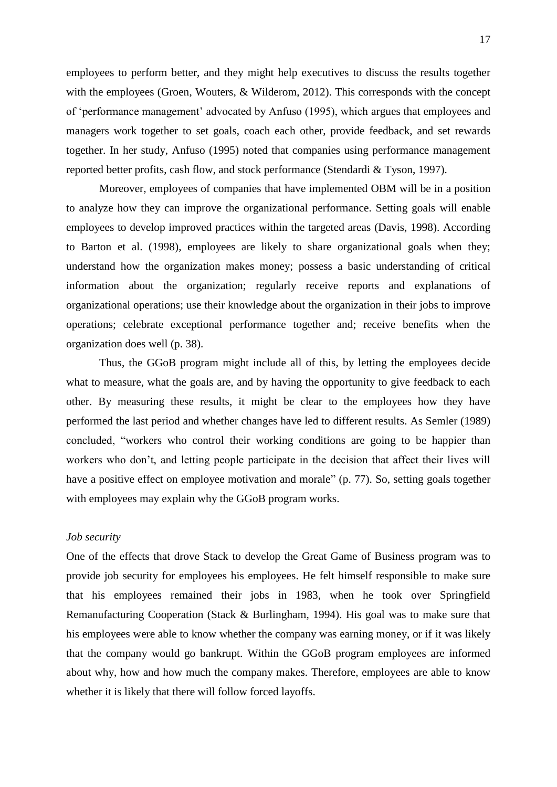employees to perform better, and they might help executives to discuss the results together with the employees (Groen, Wouters, & Wilderom, 2012). This corresponds with the concept of ‗performance management' advocated by Anfuso (1995), which argues that employees and managers work together to set goals, coach each other, provide feedback, and set rewards together. In her study, Anfuso (1995) noted that companies using performance management reported better profits, cash flow, and stock performance (Stendardi & Tyson, 1997).

Moreover, employees of companies that have implemented OBM will be in a position to analyze how they can improve the organizational performance. Setting goals will enable employees to develop improved practices within the targeted areas (Davis, 1998). According to Barton et al. (1998), employees are likely to share organizational goals when they; understand how the organization makes money; possess a basic understanding of critical information about the organization; regularly receive reports and explanations of organizational operations; use their knowledge about the organization in their jobs to improve operations; celebrate exceptional performance together and; receive benefits when the organization does well (p. 38).

Thus, the GGoB program might include all of this, by letting the employees decide what to measure, what the goals are, and by having the opportunity to give feedback to each other. By measuring these results, it might be clear to the employees how they have performed the last period and whether changes have led to different results. As Semler (1989) concluded, "workers who control their working conditions are going to be happier than workers who don't, and letting people participate in the decision that affect their lives will have a positive effect on employee motivation and morale" (p. 77). So, setting goals together with employees may explain why the GGoB program works.

## <span id="page-16-0"></span>*Job security*

One of the effects that drove Stack to develop the Great Game of Business program was to provide job security for employees his employees. He felt himself responsible to make sure that his employees remained their jobs in 1983, when he took over Springfield Remanufacturing Cooperation (Stack & Burlingham, 1994). His goal was to make sure that his employees were able to know whether the company was earning money, or if it was likely that the company would go bankrupt. Within the GGoB program employees are informed about why, how and how much the company makes. Therefore, employees are able to know whether it is likely that there will follow forced layoffs.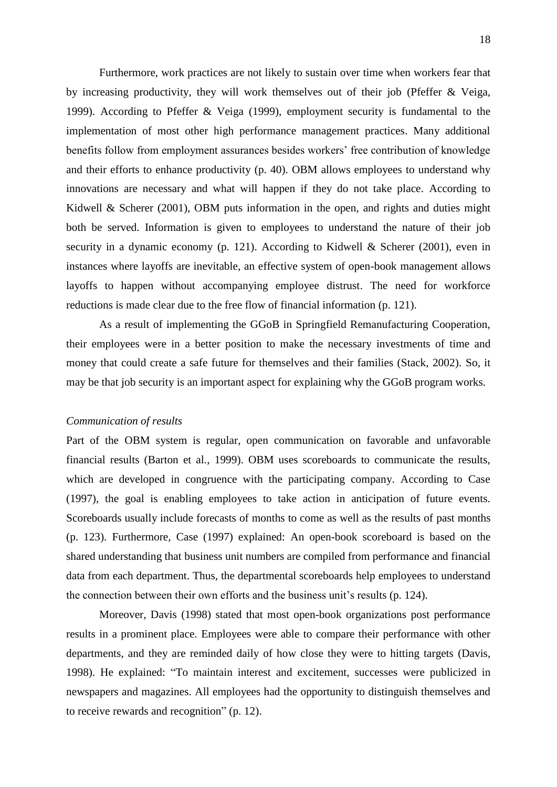Furthermore, work practices are not likely to sustain over time when workers fear that by increasing productivity, they will work themselves out of their job (Pfeffer & Veiga, 1999). According to Pfeffer & Veiga (1999), employment security is fundamental to the implementation of most other high performance management practices. Many additional benefits follow from employment assurances besides workers' free contribution of knowledge and their efforts to enhance productivity (p. 40). OBM allows employees to understand why innovations are necessary and what will happen if they do not take place. According to Kidwell & Scherer  $(2001)$ , OBM puts information in the open, and rights and duties might both be served. Information is given to employees to understand the nature of their job security in a dynamic economy (p. 121). According to Kidwell & Scherer (2001), even in instances where layoffs are inevitable, an effective system of open-book management allows layoffs to happen without accompanying employee distrust. The need for workforce reductions is made clear due to the free flow of financial information (p. 121).

As a result of implementing the GGoB in Springfield Remanufacturing Cooperation, their employees were in a better position to make the necessary investments of time and money that could create a safe future for themselves and their families (Stack, 2002). So, it may be that job security is an important aspect for explaining why the GGoB program works.

### <span id="page-17-0"></span>*Communication of results*

Part of the OBM system is regular, open communication on favorable and unfavorable financial results (Barton et al., 1999). OBM uses scoreboards to communicate the results, which are developed in congruence with the participating company. According to Case (1997), the goal is enabling employees to take action in anticipation of future events. Scoreboards usually include forecasts of months to come as well as the results of past months (p. 123). Furthermore, Case (1997) explained: An open-book scoreboard is based on the shared understanding that business unit numbers are compiled from performance and financial data from each department. Thus, the departmental scoreboards help employees to understand the connection between their own efforts and the business unit's results (p. 124).

Moreover, Davis (1998) stated that most open-book organizations post performance results in a prominent place. Employees were able to compare their performance with other departments, and they are reminded daily of how close they were to hitting targets (Davis, 1998). He explained: "To maintain interest and excitement, successes were publicized in newspapers and magazines. All employees had the opportunity to distinguish themselves and to receive rewards and recognition" (p. 12).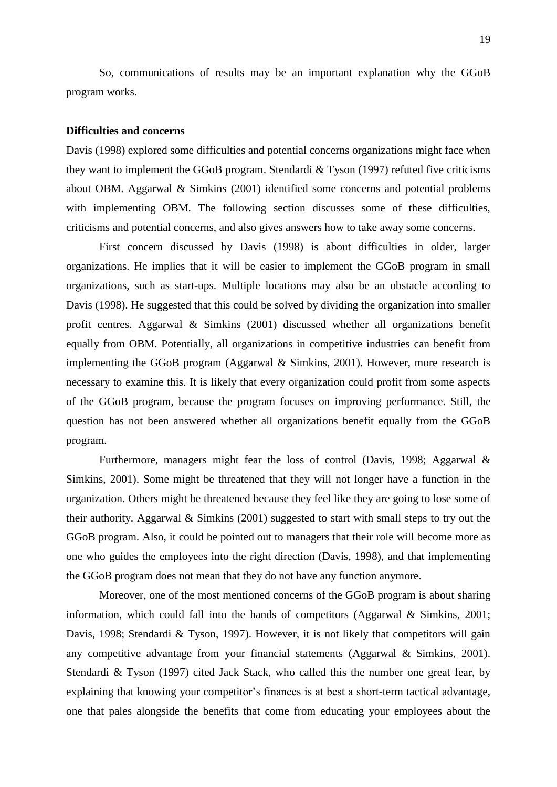So, communications of results may be an important explanation why the GGoB program works.

#### <span id="page-18-0"></span>**Difficulties and concerns**

Davis (1998) explored some difficulties and potential concerns organizations might face when they want to implement the GGoB program. Stendardi & Tyson (1997) refuted five criticisms about OBM. Aggarwal & Simkins (2001) identified some concerns and potential problems with implementing OBM. The following section discusses some of these difficulties, criticisms and potential concerns, and also gives answers how to take away some concerns.

First concern discussed by Davis (1998) is about difficulties in older, larger organizations. He implies that it will be easier to implement the GGoB program in small organizations, such as start-ups. Multiple locations may also be an obstacle according to Davis (1998). He suggested that this could be solved by dividing the organization into smaller profit centres. Aggarwal & Simkins (2001) discussed whether all organizations benefit equally from OBM. Potentially, all organizations in competitive industries can benefit from implementing the GGoB program (Aggarwal & Simkins, 2001). However, more research is necessary to examine this. It is likely that every organization could profit from some aspects of the GGoB program, because the program focuses on improving performance. Still, the question has not been answered whether all organizations benefit equally from the GGoB program.

Furthermore, managers might fear the loss of control (Davis, 1998; Aggarwal & Simkins, 2001). Some might be threatened that they will not longer have a function in the organization. Others might be threatened because they feel like they are going to lose some of their authority. Aggarwal & Simkins (2001) suggested to start with small steps to try out the GGoB program. Also, it could be pointed out to managers that their role will become more as one who guides the employees into the right direction (Davis, 1998), and that implementing the GGoB program does not mean that they do not have any function anymore.

Moreover, one of the most mentioned concerns of the GGoB program is about sharing information, which could fall into the hands of competitors (Aggarwal & Simkins, 2001; Davis, 1998; Stendardi & Tyson, 1997). However, it is not likely that competitors will gain any competitive advantage from your financial statements (Aggarwal & Simkins, 2001). Stendardi & Tyson (1997) cited Jack Stack, who called this the number one great fear, by explaining that knowing your competitor's finances is at best a short-term tactical advantage, one that pales alongside the benefits that come from educating your employees about the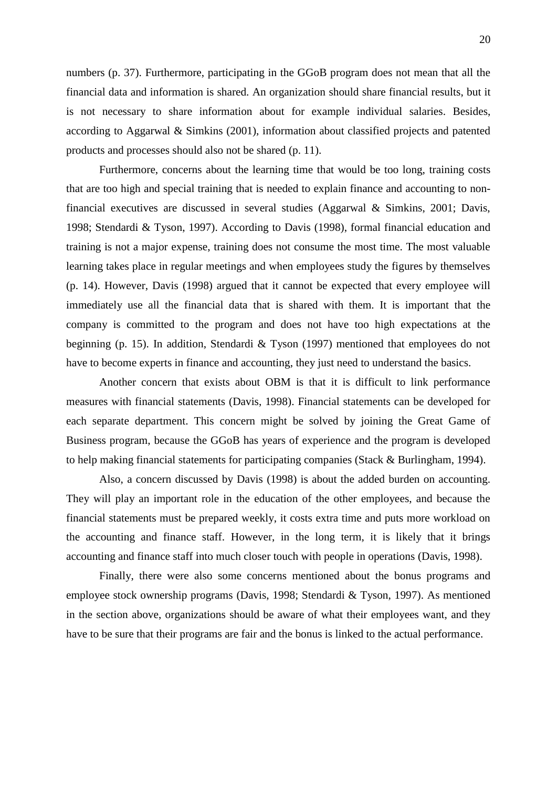numbers (p. 37). Furthermore, participating in the GGoB program does not mean that all the financial data and information is shared. An organization should share financial results, but it is not necessary to share information about for example individual salaries. Besides, according to Aggarwal & Simkins (2001), information about classified projects and patented products and processes should also not be shared (p. 11).

Furthermore, concerns about the learning time that would be too long, training costs that are too high and special training that is needed to explain finance and accounting to nonfinancial executives are discussed in several studies (Aggarwal & Simkins, 2001; Davis, 1998; Stendardi & Tyson, 1997). According to Davis (1998), formal financial education and training is not a major expense, training does not consume the most time. The most valuable learning takes place in regular meetings and when employees study the figures by themselves (p. 14). However, Davis (1998) argued that it cannot be expected that every employee will immediately use all the financial data that is shared with them. It is important that the company is committed to the program and does not have too high expectations at the beginning (p. 15). In addition, Stendardi & Tyson (1997) mentioned that employees do not have to become experts in finance and accounting, they just need to understand the basics.

Another concern that exists about OBM is that it is difficult to link performance measures with financial statements (Davis, 1998). Financial statements can be developed for each separate department. This concern might be solved by joining the Great Game of Business program, because the GGoB has years of experience and the program is developed to help making financial statements for participating companies (Stack & Burlingham, 1994).

Also, a concern discussed by Davis (1998) is about the added burden on accounting. They will play an important role in the education of the other employees, and because the financial statements must be prepared weekly, it costs extra time and puts more workload on the accounting and finance staff. However, in the long term, it is likely that it brings accounting and finance staff into much closer touch with people in operations (Davis, 1998).

Finally, there were also some concerns mentioned about the bonus programs and employee stock ownership programs (Davis, 1998; Stendardi & Tyson, 1997). As mentioned in the section above, organizations should be aware of what their employees want, and they have to be sure that their programs are fair and the bonus is linked to the actual performance.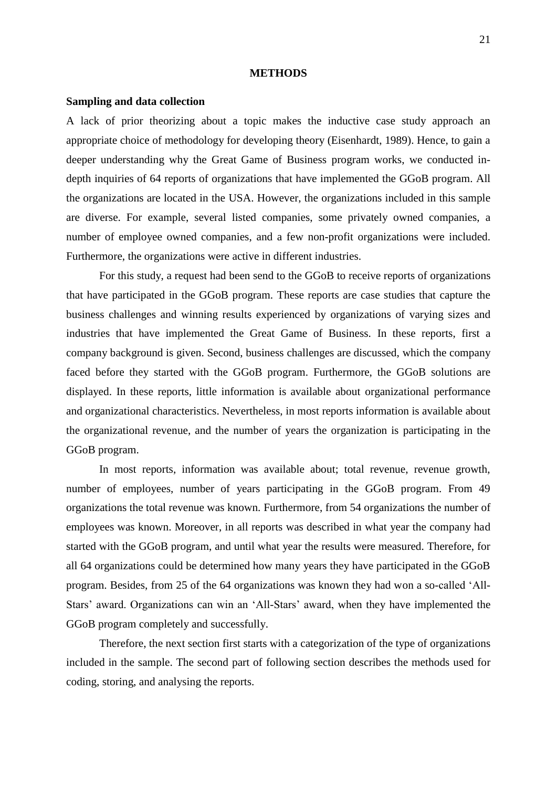#### **METHODS**

#### <span id="page-20-1"></span><span id="page-20-0"></span>**Sampling and data collection**

A lack of prior theorizing about a topic makes the inductive case study approach an appropriate choice of methodology for developing theory (Eisenhardt, 1989). Hence, to gain a deeper understanding why the Great Game of Business program works, we conducted indepth inquiries of 64 reports of organizations that have implemented the GGoB program. All the organizations are located in the USA. However, the organizations included in this sample are diverse. For example, several listed companies, some privately owned companies, a number of employee owned companies, and a few non-profit organizations were included. Furthermore, the organizations were active in different industries.

For this study, a request had been send to the GGoB to receive reports of organizations that have participated in the GGoB program. These reports are case studies that capture the business challenges and winning results experienced by organizations of varying sizes and industries that have implemented the Great Game of Business. In these reports, first a company background is given. Second, business challenges are discussed, which the company faced before they started with the GGoB program. Furthermore, the GGoB solutions are displayed. In these reports, little information is available about organizational performance and organizational characteristics. Nevertheless, in most reports information is available about the organizational revenue, and the number of years the organization is participating in the GGoB program.

In most reports, information was available about; total revenue, revenue growth, number of employees, number of years participating in the GGoB program. From 49 organizations the total revenue was known. Furthermore, from 54 organizations the number of employees was known. Moreover, in all reports was described in what year the company had started with the GGoB program, and until what year the results were measured. Therefore, for all 64 organizations could be determined how many years they have participated in the GGoB program. Besides, from 25 of the 64 organizations was known they had won a so-called ‗All-Stars' award. Organizations can win an 'All-Stars' award, when they have implemented the GGoB program completely and successfully.

Therefore, the next section first starts with a categorization of the type of organizations included in the sample. The second part of following section describes the methods used for coding, storing, and analysing the reports.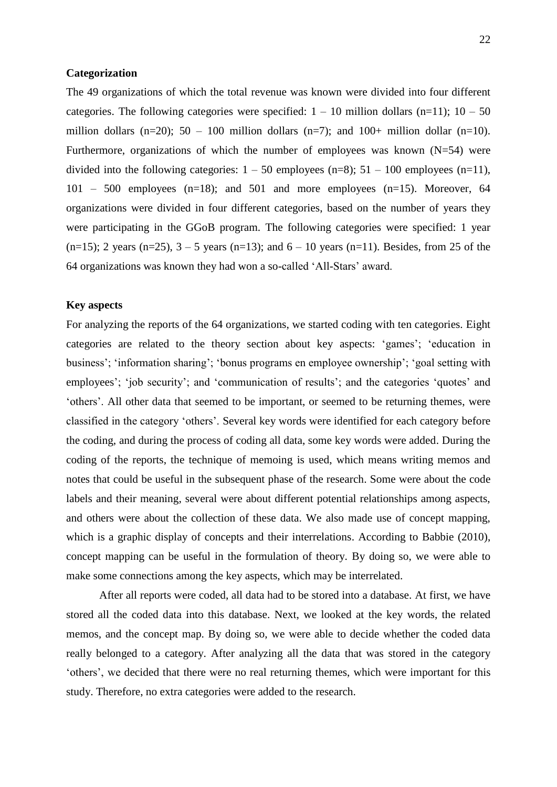### <span id="page-21-0"></span>**Categorization**

The 49 organizations of which the total revenue was known were divided into four different categories. The following categories were specified:  $1 - 10$  million dollars (n=11);  $10 - 50$ million dollars  $(n=20)$ ; 50 – 100 million dollars  $(n=7)$ ; and 100+ million dollar  $(n=10)$ . Furthermore, organizations of which the number of employees was known  $(N=54)$  were divided into the following categories:  $1 - 50$  employees (n=8);  $51 - 100$  employees (n=11), 101 – 500 employees (n=18); and 501 and more employees (n=15). Moreover, 64 organizations were divided in four different categories, based on the number of years they were participating in the GGoB program. The following categories were specified: 1 year  $(n=15)$ ; 2 years  $(n=25)$ ,  $3 - 5$  years  $(n=13)$ ; and  $6 - 10$  years  $(n=11)$ . Besides, from 25 of the 64 organizations was known they had won a so-called ‗All-Stars' award.

## <span id="page-21-1"></span>**Key aspects**

For analyzing the reports of the 64 organizations, we started coding with ten categories. Eight categories are related to the theory section about key aspects: ‗games'; ‗education in business'; 'information sharing'; 'bonus programs en employee ownership'; 'goal setting with employees'; 'job security'; and 'communication of results'; and the categories 'quotes' and ‗others'. All other data that seemed to be important, or seemed to be returning themes, were classified in the category 'others'. Several key words were identified for each category before the coding, and during the process of coding all data, some key words were added. During the coding of the reports, the technique of memoing is used, which means writing memos and notes that could be useful in the subsequent phase of the research. Some were about the code labels and their meaning, several were about different potential relationships among aspects, and others were about the collection of these data. We also made use of concept mapping, which is a graphic display of concepts and their interrelations. According to Babbie (2010), concept mapping can be useful in the formulation of theory. By doing so, we were able to make some connections among the key aspects, which may be interrelated.

After all reports were coded, all data had to be stored into a database. At first, we have stored all the coded data into this database. Next, we looked at the key words, the related memos, and the concept map. By doing so, we were able to decide whether the coded data really belonged to a category. After analyzing all the data that was stored in the category ‗others', we decided that there were no real returning themes, which were important for this study. Therefore, no extra categories were added to the research.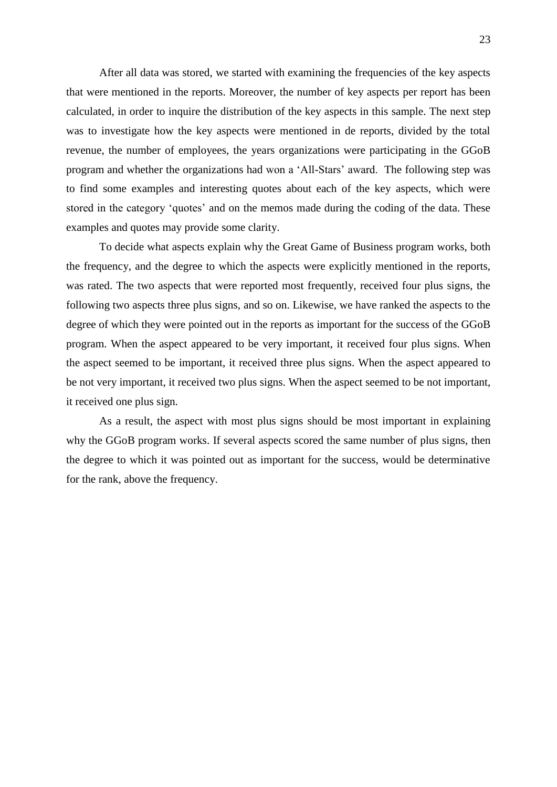After all data was stored, we started with examining the frequencies of the key aspects that were mentioned in the reports. Moreover, the number of key aspects per report has been calculated, in order to inquire the distribution of the key aspects in this sample. The next step was to investigate how the key aspects were mentioned in de reports, divided by the total revenue, the number of employees, the years organizations were participating in the GGoB program and whether the organizations had won a ‗All-Stars' award. The following step was to find some examples and interesting quotes about each of the key aspects, which were stored in the category 'quotes' and on the memos made during the coding of the data. These examples and quotes may provide some clarity.

To decide what aspects explain why the Great Game of Business program works, both the frequency, and the degree to which the aspects were explicitly mentioned in the reports, was rated. The two aspects that were reported most frequently, received four plus signs, the following two aspects three plus signs, and so on. Likewise, we have ranked the aspects to the degree of which they were pointed out in the reports as important for the success of the GGoB program. When the aspect appeared to be very important, it received four plus signs. When the aspect seemed to be important, it received three plus signs. When the aspect appeared to be not very important, it received two plus signs. When the aspect seemed to be not important, it received one plus sign.

As a result, the aspect with most plus signs should be most important in explaining why the GGoB program works. If several aspects scored the same number of plus signs, then the degree to which it was pointed out as important for the success, would be determinative for the rank, above the frequency.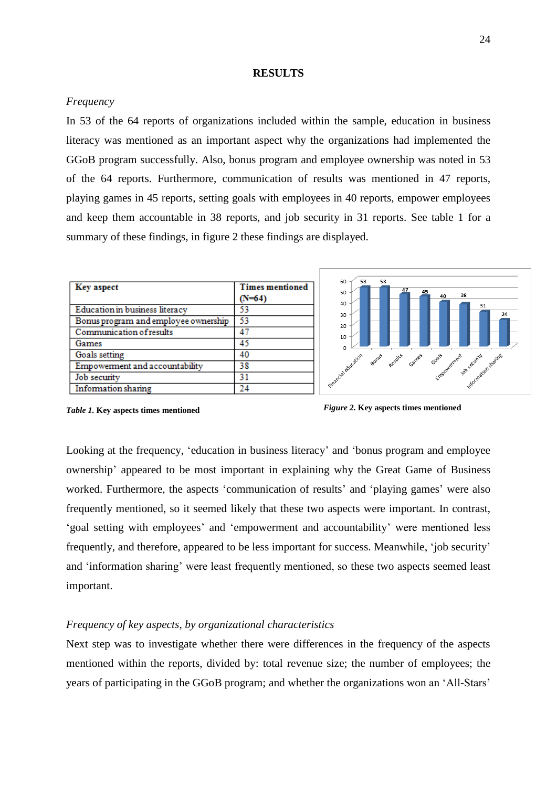#### **RESULTS**

## <span id="page-23-1"></span><span id="page-23-0"></span>*Frequency*

In 53 of the 64 reports of organizations included within the sample, education in business literacy was mentioned as an important aspect why the organizations had implemented the GGoB program successfully. Also, bonus program and employee ownership was noted in 53 of the 64 reports. Furthermore, communication of results was mentioned in 47 reports, playing games in 45 reports, setting goals with employees in 40 reports, empower employees and keep them accountable in 38 reports, and job security in 31 reports. See table 1 for a summary of these findings, in figure 2 these findings are displayed.

| <b>Key aspect</b>                    | <b>Times mentioned</b> |
|--------------------------------------|------------------------|
|                                      | $(N=64)$               |
| Education in business literacy       | 53                     |
| Bonus program and employee ownership | 53                     |
| Communication of results             | 47                     |
| Games                                | 45                     |
| Goals setting                        | 40                     |
| Empowerment and accountability       | 38                     |
| Job security                         | 31                     |
| <b>Information</b> sharing           | 24                     |



*Table 1.* **Key aspects times mentioned**

*Figure 2.* **Key aspects times mentioned**

Looking at the frequency, 'education in business literacy' and 'bonus program and employee ownership' appeared to be most important in explaining why the Great Game of Business worked. Furthermore, the aspects 'communication of results' and 'playing games' were also frequently mentioned, so it seemed likely that these two aspects were important. In contrast, ‗goal setting with employees' and ‗empowerment and accountability' were mentioned less frequently, and therefore, appeared to be less important for success. Meanwhile, 'job security' and 'information sharing' were least frequently mentioned, so these two aspects seemed least important.

### <span id="page-23-2"></span>*Frequency of key aspects, by organizational characteristics*

Next step was to investigate whether there were differences in the frequency of the aspects mentioned within the reports, divided by: total revenue size; the number of employees; the years of participating in the GGoB program; and whether the organizations won an 'All-Stars'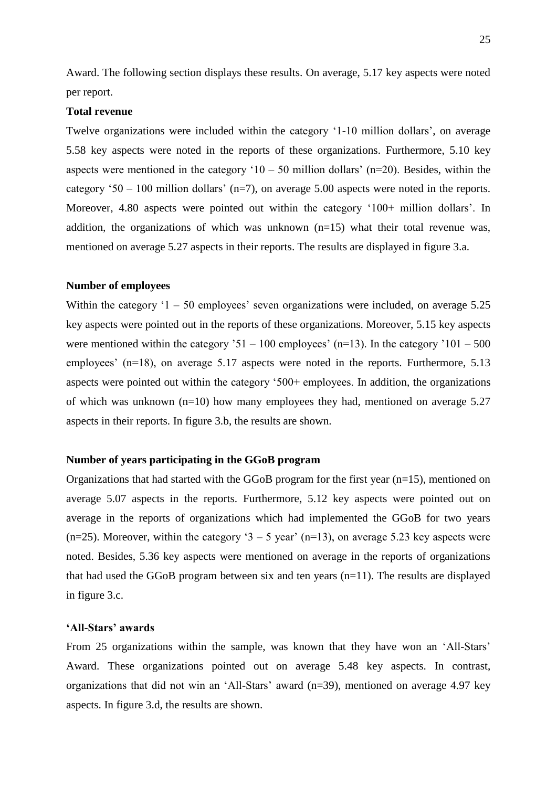Award. The following section displays these results. On average, 5.17 key aspects were noted per report.

#### **Total revenue**

Twelve organizations were included within the category ‗1-10 million dollars', on average 5.58 key aspects were noted in the reports of these organizations. Furthermore, 5.10 key aspects were mentioned in the category ' $10 - 50$  million dollars' (n=20). Besides, within the category  $50 - 100$  million dollars' (n=7), on average 5.00 aspects were noted in the reports. Moreover, 4.80 aspects were pointed out within the category '100+ million dollars'. In addition, the organizations of which was unknown  $(n=15)$  what their total revenue was, mentioned on average 5.27 aspects in their reports. The results are displayed in figure 3.a.

#### **Number of employees**

Within the category  $1 - 50$  employees' seven organizations were included, on average  $5.25$ key aspects were pointed out in the reports of these organizations. Moreover, 5.15 key aspects were mentioned within the category  $31 - 100$  employees' (n=13). In the category  $101 - 500$ employees' (n=18), on average 5.17 aspects were noted in the reports. Furthermore, 5.13 aspects were pointed out within the category  $500+$  employees. In addition, the organizations of which was unknown (n=10) how many employees they had, mentioned on average 5.27 aspects in their reports. In figure 3.b, the results are shown.

## **Number of years participating in the GGoB program**

Organizations that had started with the GGoB program for the first year (n=15), mentioned on average 5.07 aspects in the reports. Furthermore, 5.12 key aspects were pointed out on average in the reports of organizations which had implemented the GGoB for two years (n=25). Moreover, within the category '3 – 5 year' (n=13), on average 5.23 key aspects were noted. Besides, 5.36 key aspects were mentioned on average in the reports of organizations that had used the GGoB program between six and ten years (n=11). The results are displayed in figure 3.c.

#### **'All-Stars' awards**

From 25 organizations within the sample, was known that they have won an 'All-Stars' Award. These organizations pointed out on average 5.48 key aspects. In contrast, organizations that did not win an 'All-Stars' award  $(n=39)$ , mentioned on average 4.97 key aspects. In figure 3.d, the results are shown.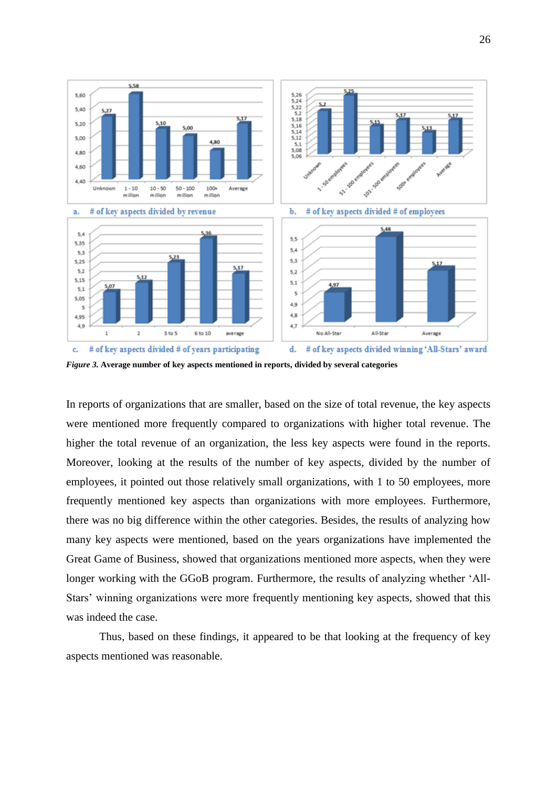

*Figure 3.* **Average number of key aspects mentioned in reports, divided by several categories**

In reports of organizations that are smaller, based on the size of total revenue, the key aspects were mentioned more frequently compared to organizations with higher total revenue. The higher the total revenue of an organization, the less key aspects were found in the reports. Moreover, looking at the results of the number of key aspects, divided by the number of employees, it pointed out those relatively small organizations, with 1 to 50 employees, more frequently mentioned key aspects than organizations with more employees. Furthermore, there was no big difference within the other categories. Besides, the results of analyzing how many key aspects were mentioned, based on the years organizations have implemented the Great Game of Business, showed that organizations mentioned more aspects, when they were longer working with the GGoB program. Furthermore, the results of analyzing whether 'All-Stars' winning organizations were more frequently mentioning key aspects, showed that this was indeed the case.

Thus, based on these findings, it appeared to be that looking at the frequency of key aspects mentioned was reasonable.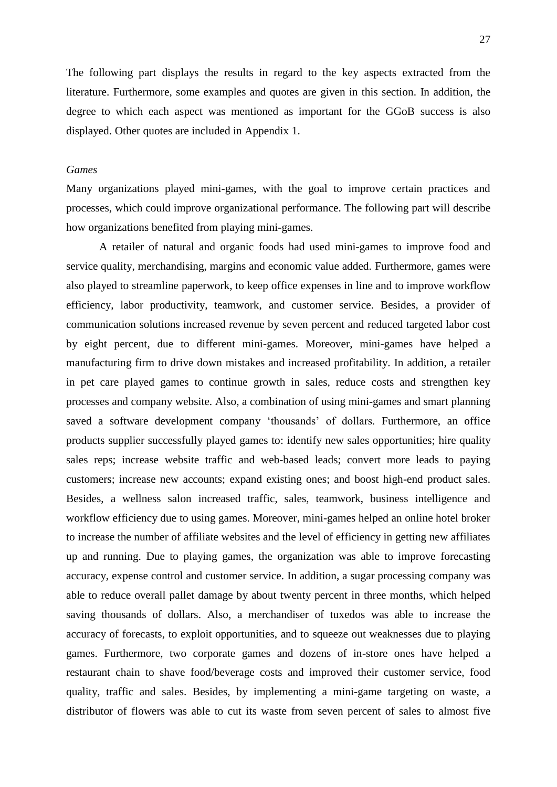The following part displays the results in regard to the key aspects extracted from the literature. Furthermore, some examples and quotes are given in this section. In addition, the degree to which each aspect was mentioned as important for the GGoB success is also displayed. Other quotes are included in Appendix 1.

## <span id="page-26-0"></span>*Games*

Many organizations played mini-games, with the goal to improve certain practices and processes, which could improve organizational performance. The following part will describe how organizations benefited from playing mini-games.

A retailer of natural and organic foods had used mini-games to improve food and service quality, merchandising, margins and economic value added. Furthermore, games were also played to streamline paperwork, to keep office expenses in line and to improve workflow efficiency, labor productivity, teamwork, and customer service. Besides, a provider of communication solutions increased revenue by seven percent and reduced targeted labor cost by eight percent, due to different mini-games. Moreover, mini-games have helped a manufacturing firm to drive down mistakes and increased profitability. In addition, a retailer in pet care played games to continue growth in sales, reduce costs and strengthen key processes and company website. Also, a combination of using mini-games and smart planning saved a software development company 'thousands' of dollars. Furthermore, an office products supplier successfully played games to: identify new sales opportunities; hire quality sales reps; increase website traffic and web-based leads; convert more leads to paying customers; increase new accounts; expand existing ones; and boost high-end product sales. Besides, a wellness salon increased traffic, sales, teamwork, business intelligence and workflow efficiency due to using games. Moreover, mini-games helped an online hotel broker to increase the number of affiliate websites and the level of efficiency in getting new affiliates up and running. Due to playing games, the organization was able to improve forecasting accuracy, expense control and customer service. In addition, a sugar processing company was able to reduce overall pallet damage by about twenty percent in three months, which helped saving thousands of dollars. Also, a merchandiser of tuxedos was able to increase the accuracy of forecasts, to exploit opportunities, and to squeeze out weaknesses due to playing games. Furthermore, two corporate games and dozens of in-store ones have helped a restaurant chain to shave food/beverage costs and improved their customer service, food quality, traffic and sales. Besides, by implementing a mini-game targeting on waste, a distributor of flowers was able to cut its waste from seven percent of sales to almost five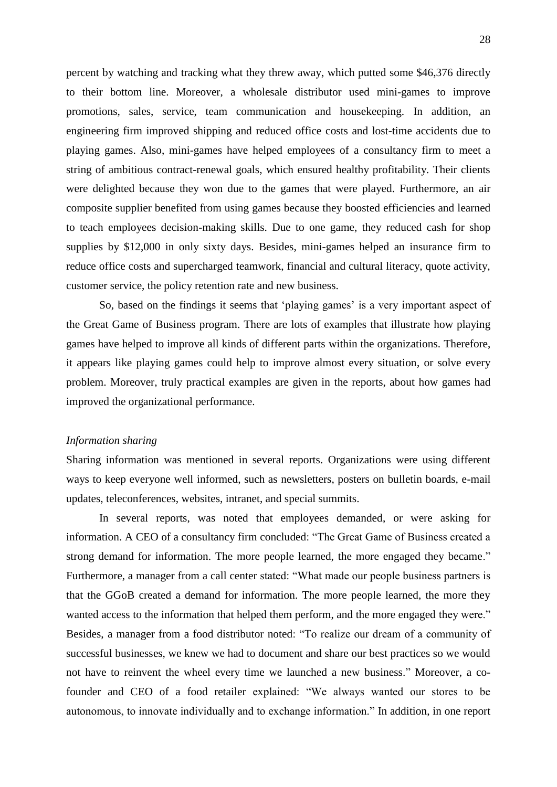percent by watching and tracking what they threw away, which putted some \$46,376 directly to their bottom line. Moreover, a wholesale distributor used mini-games to improve promotions, sales, service, team communication and housekeeping. In addition, an engineering firm improved shipping and reduced office costs and lost-time accidents due to playing games. Also, mini-games have helped employees of a consultancy firm to meet a string of ambitious contract-renewal goals, which ensured healthy profitability. Their clients were delighted because they won due to the games that were played. Furthermore, an air composite supplier benefited from using games because they boosted efficiencies and learned to teach employees decision-making skills. Due to one game, they reduced cash for shop supplies by \$12,000 in only sixty days. Besides, mini-games helped an insurance firm to reduce office costs and supercharged teamwork, financial and cultural literacy, quote activity, customer service, the policy retention rate and new business.

So, based on the findings it seems that 'playing games' is a very important aspect of the Great Game of Business program. There are lots of examples that illustrate how playing games have helped to improve all kinds of different parts within the organizations. Therefore, it appears like playing games could help to improve almost every situation, or solve every problem. Moreover, truly practical examples are given in the reports, about how games had improved the organizational performance.

#### <span id="page-27-0"></span>*Information sharing*

Sharing information was mentioned in several reports. Organizations were using different ways to keep everyone well informed, such as newsletters, posters on bulletin boards, e-mail updates, teleconferences, websites, intranet, and special summits.

In several reports, was noted that employees demanded, or were asking for information. A CEO of a consultancy firm concluded: "The Great Game of Business created a strong demand for information. The more people learned, the more engaged they became." Furthermore, a manager from a call center stated: "What made our people business partners is that the GGoB created a demand for information. The more people learned, the more they wanted access to the information that helped them perform, and the more engaged they were." Besides, a manager from a food distributor noted: "To realize our dream of a community of successful businesses, we knew we had to document and share our best practices so we would not have to reinvent the wheel every time we launched a new business." Moreover, a cofounder and CEO of a food retailer explained: "We always wanted our stores to be autonomous, to innovate individually and to exchange information." In addition, in one report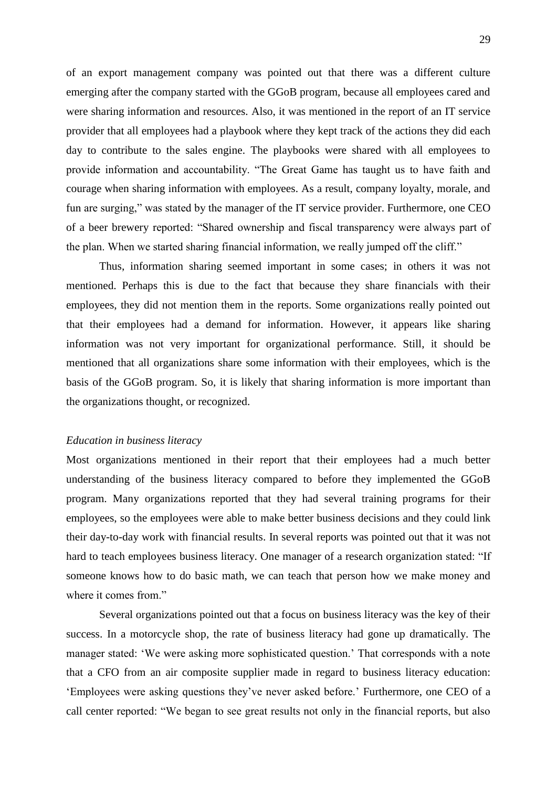of an export management company was pointed out that there was a different culture emerging after the company started with the GGoB program, because all employees cared and were sharing information and resources. Also, it was mentioned in the report of an IT service provider that all employees had a playbook where they kept track of the actions they did each day to contribute to the sales engine. The playbooks were shared with all employees to provide information and accountability. "The Great Game has taught us to have faith and courage when sharing information with employees. As a result, company loyalty, morale, and fun are surging," was stated by the manager of the IT service provider. Furthermore, one CEO of a beer brewery reported: "Shared ownership and fiscal transparency were always part of the plan. When we started sharing financial information, we really jumped off the cliff."

Thus, information sharing seemed important in some cases; in others it was not mentioned. Perhaps this is due to the fact that because they share financials with their employees, they did not mention them in the reports. Some organizations really pointed out that their employees had a demand for information. However, it appears like sharing information was not very important for organizational performance. Still, it should be mentioned that all organizations share some information with their employees, which is the basis of the GGoB program. So, it is likely that sharing information is more important than the organizations thought, or recognized.

#### <span id="page-28-0"></span>*Education in business literacy*

Most organizations mentioned in their report that their employees had a much better understanding of the business literacy compared to before they implemented the GGoB program. Many organizations reported that they had several training programs for their employees, so the employees were able to make better business decisions and they could link their day-to-day work with financial results. In several reports was pointed out that it was not hard to teach employees business literacy. One manager of a research organization stated: "If someone knows how to do basic math, we can teach that person how we make money and where it comes from."

Several organizations pointed out that a focus on business literacy was the key of their success. In a motorcycle shop, the rate of business literacy had gone up dramatically. The manager stated: ‗We were asking more sophisticated question.' That corresponds with a note that a CFO from an air composite supplier made in regard to business literacy education: ‗Employees were asking questions they've never asked before.' Furthermore, one CEO of a call center reported: "We began to see great results not only in the financial reports, but also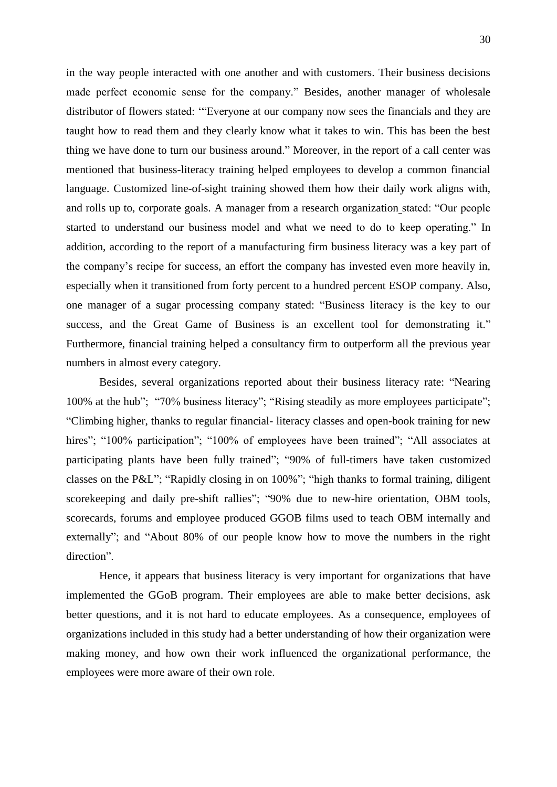in the way people interacted with one another and with customers. Their business decisions made perfect economic sense for the company." Besides, another manager of wholesale distributor of flowers stated: "Everyone at our company now sees the financials and they are taught how to read them and they clearly know what it takes to win. This has been the best thing we have done to turn our business around." Moreover, in the report of a call center was mentioned that business-literacy training helped employees to develop a common financial language. Customized line-of-sight training showed them how their daily work aligns with, and rolls up to, corporate goals. A manager from a research organization stated: "Our people started to understand our business model and what we need to do to keep operating." In addition, according to the report of a manufacturing firm business literacy was a key part of the company's recipe for success, an effort the company has invested even more heavily in, especially when it transitioned from forty percent to a hundred percent ESOP company. Also, one manager of a sugar processing company stated: "Business literacy is the key to our success, and the Great Game of Business is an excellent tool for demonstrating it." Furthermore, financial training helped a consultancy firm to outperform all the previous year numbers in almost every category.

Besides, several organizations reported about their business literacy rate: "Nearing 100% at the hub"; "70% business literacy"; "Rising steadily as more employees participate"; ―Climbing higher, thanks to regular financial- literacy classes and open-book training for new hires"; "100% participation"; "100% of employees have been trained"; "All associates at participating plants have been fully trained"; "90% of full-timers have taken customized classes on the P&L"; "Rapidly closing in on  $100\%$ "; "high thanks to formal training, diligent scorekeeping and daily pre-shift rallies"; "90% due to new-hire orientation, OBM tools, scorecards, forums and employee produced GGOB films used to teach OBM internally and externally"; and "About 80% of our people know how to move the numbers in the right direction".

Hence, it appears that business literacy is very important for organizations that have implemented the GGoB program. Their employees are able to make better decisions, ask better questions, and it is not hard to educate employees. As a consequence, employees of organizations included in this study had a better understanding of how their organization were making money, and how own their work influenced the organizational performance, the employees were more aware of their own role.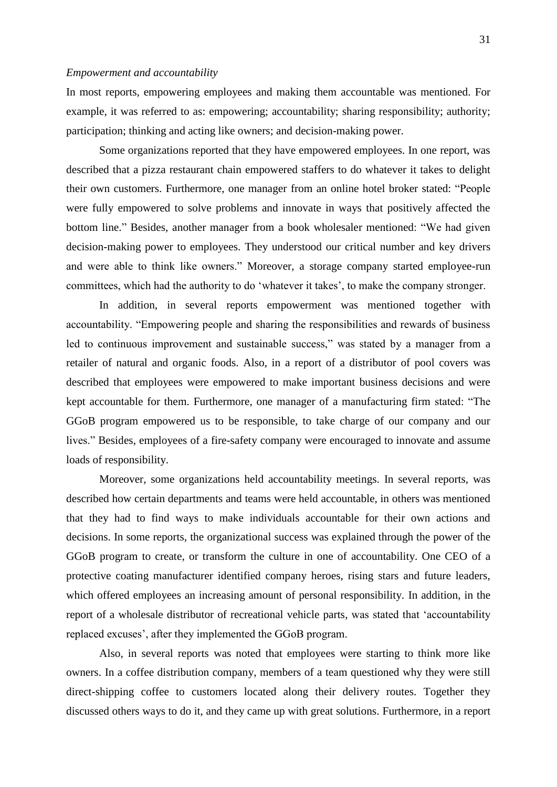### <span id="page-30-0"></span>*Empowerment and accountability*

In most reports, empowering employees and making them accountable was mentioned. For example, it was referred to as: empowering; accountability; sharing responsibility; authority; participation; thinking and acting like owners; and decision-making power.

Some organizations reported that they have empowered employees. In one report, was described that a pizza restaurant chain empowered staffers to do whatever it takes to delight their own customers. Furthermore, one manager from an online hotel broker stated: "People were fully empowered to solve problems and innovate in ways that positively affected the bottom line." Besides, another manager from a book wholesaler mentioned: "We had given decision-making power to employees. They understood our critical number and key drivers and were able to think like owners." Moreover, a storage company started employee-run committees, which had the authority to do 'whatever it takes', to make the company stronger.

In addition, in several reports empowerment was mentioned together with accountability. "Empowering people and sharing the responsibilities and rewards of business led to continuous improvement and sustainable success," was stated by a manager from a retailer of natural and organic foods. Also, in a report of a distributor of pool covers was described that employees were empowered to make important business decisions and were kept accountable for them. Furthermore, one manager of a manufacturing firm stated: "The GGoB program empowered us to be responsible, to take charge of our company and our lives." Besides, employees of a fire-safety company were encouraged to innovate and assume loads of responsibility.

Moreover, some organizations held accountability meetings. In several reports, was described how certain departments and teams were held accountable, in others was mentioned that they had to find ways to make individuals accountable for their own actions and decisions. In some reports, the organizational success was explained through the power of the GGoB program to create, or transform the culture in one of accountability. One CEO of a protective coating manufacturer identified company heroes, rising stars and future leaders, which offered employees an increasing amount of personal responsibility. In addition, in the report of a wholesale distributor of recreational vehicle parts, was stated that 'accountability replaced excuses', after they implemented the GGoB program.

Also, in several reports was noted that employees were starting to think more like owners. In a coffee distribution company, members of a team questioned why they were still direct-shipping coffee to customers located along their delivery routes. Together they discussed others ways to do it, and they came up with great solutions. Furthermore, in a report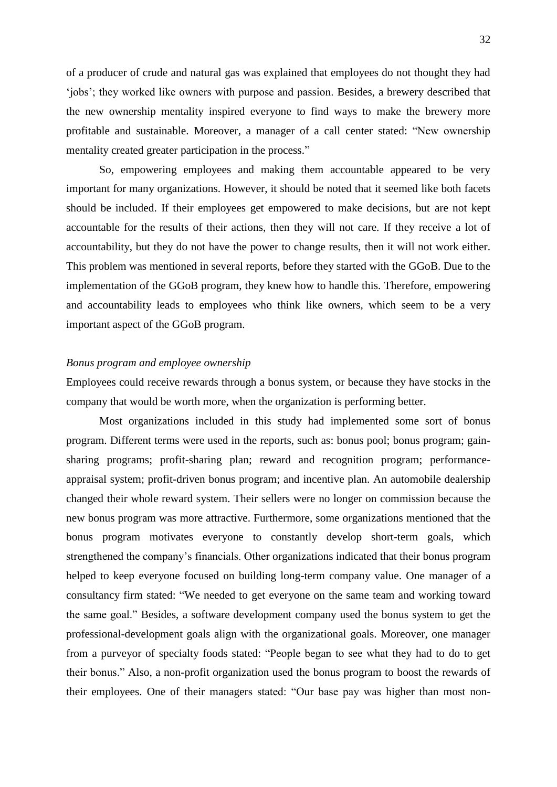of a producer of crude and natural gas was explained that employees do not thought they had ‗jobs'; they worked like owners with purpose and passion. Besides, a brewery described that the new ownership mentality inspired everyone to find ways to make the brewery more profitable and sustainable. Moreover, a manager of a call center stated: "New ownership mentality created greater participation in the process."

So, empowering employees and making them accountable appeared to be very important for many organizations. However, it should be noted that it seemed like both facets should be included. If their employees get empowered to make decisions, but are not kept accountable for the results of their actions, then they will not care. If they receive a lot of accountability, but they do not have the power to change results, then it will not work either. This problem was mentioned in several reports, before they started with the GGoB. Due to the implementation of the GGoB program, they knew how to handle this. Therefore, empowering and accountability leads to employees who think like owners, which seem to be a very important aspect of the GGoB program.

## <span id="page-31-0"></span>*Bonus program and employee ownership*

Employees could receive rewards through a bonus system, or because they have stocks in the company that would be worth more, when the organization is performing better.

Most organizations included in this study had implemented some sort of bonus program. Different terms were used in the reports, such as: bonus pool; bonus program; gainsharing programs; profit-sharing plan; reward and recognition program; performanceappraisal system; profit-driven bonus program; and incentive plan. An automobile dealership changed their whole reward system. Their sellers were no longer on commission because the new bonus program was more attractive. Furthermore, some organizations mentioned that the bonus program motivates everyone to constantly develop short-term goals, which strengthened the company's financials. Other organizations indicated that their bonus program helped to keep everyone focused on building long-term company value. One manager of a consultancy firm stated: "We needed to get everyone on the same team and working toward the same goal." Besides, a software development company used the bonus system to get the professional-development goals align with the organizational goals. Moreover, one manager from a purveyor of specialty foods stated: "People began to see what they had to do to get their bonus.‖ Also, a non-profit organization used the bonus program to boost the rewards of their employees. One of their managers stated: "Our base pay was higher than most non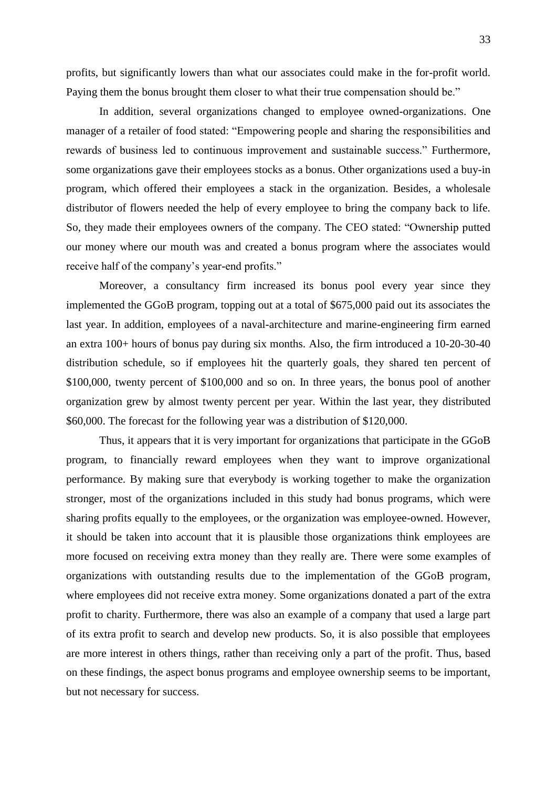profits, but significantly lowers than what our associates could make in the for-profit world. Paying them the bonus brought them closer to what their true compensation should be."

In addition, several organizations changed to employee owned-organizations. One manager of a retailer of food stated: "Empowering people and sharing the responsibilities and rewards of business led to continuous improvement and sustainable success." Furthermore, some organizations gave their employees stocks as a bonus. Other organizations used a buy-in program, which offered their employees a stack in the organization. Besides, a wholesale distributor of flowers needed the help of every employee to bring the company back to life. So, they made their employees owners of the company. The CEO stated: "Ownership putted our money where our mouth was and created a bonus program where the associates would receive half of the company's year-end profits."

Moreover, a consultancy firm increased its bonus pool every year since they implemented the GGoB program, topping out at a total of \$675,000 paid out its associates the last year. In addition, employees of a naval-architecture and marine-engineering firm earned an extra 100+ hours of bonus pay during six months. Also, the firm introduced a 10-20-30-40 distribution schedule, so if employees hit the quarterly goals, they shared ten percent of \$100,000, twenty percent of \$100,000 and so on. In three years, the bonus pool of another organization grew by almost twenty percent per year. Within the last year, they distributed \$60,000. The forecast for the following year was a distribution of \$120,000.

Thus, it appears that it is very important for organizations that participate in the GGoB program, to financially reward employees when they want to improve organizational performance. By making sure that everybody is working together to make the organization stronger, most of the organizations included in this study had bonus programs, which were sharing profits equally to the employees, or the organization was employee-owned. However, it should be taken into account that it is plausible those organizations think employees are more focused on receiving extra money than they really are. There were some examples of organizations with outstanding results due to the implementation of the GGoB program, where employees did not receive extra money. Some organizations donated a part of the extra profit to charity. Furthermore, there was also an example of a company that used a large part of its extra profit to search and develop new products. So, it is also possible that employees are more interest in others things, rather than receiving only a part of the profit. Thus, based on these findings, the aspect bonus programs and employee ownership seems to be important, but not necessary for success.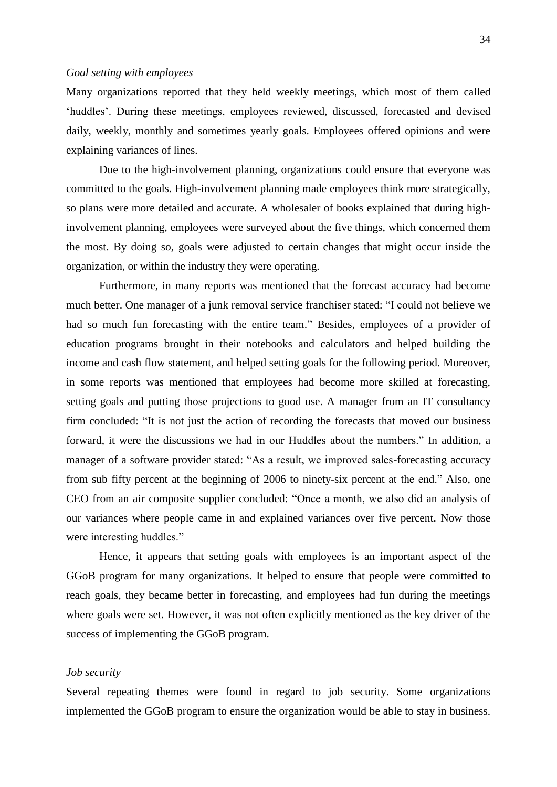#### <span id="page-33-0"></span>*Goal setting with employees*

Many organizations reported that they held weekly meetings, which most of them called ‗huddles'. During these meetings, employees reviewed, discussed, forecasted and devised daily, weekly, monthly and sometimes yearly goals. Employees offered opinions and were explaining variances of lines.

Due to the high-involvement planning, organizations could ensure that everyone was committed to the goals. High-involvement planning made employees think more strategically, so plans were more detailed and accurate. A wholesaler of books explained that during highinvolvement planning, employees were surveyed about the five things, which concerned them the most. By doing so, goals were adjusted to certain changes that might occur inside the organization, or within the industry they were operating.

Furthermore, in many reports was mentioned that the forecast accuracy had become much better. One manager of a junk removal service franchiser stated: "I could not believe we had so much fun forecasting with the entire team." Besides, employees of a provider of education programs brought in their notebooks and calculators and helped building the income and cash flow statement, and helped setting goals for the following period. Moreover, in some reports was mentioned that employees had become more skilled at forecasting, setting goals and putting those projections to good use. A manager from an IT consultancy firm concluded: "It is not just the action of recording the forecasts that moved our business forward, it were the discussions we had in our Huddles about the numbers." In addition, a manager of a software provider stated: "As a result, we improved sales-forecasting accuracy from sub fifty percent at the beginning of 2006 to ninety-six percent at the end." Also, one CEO from an air composite supplier concluded: "Once a month, we also did an analysis of our variances where people came in and explained variances over five percent. Now those were interesting huddles."

Hence, it appears that setting goals with employees is an important aspect of the GGoB program for many organizations. It helped to ensure that people were committed to reach goals, they became better in forecasting, and employees had fun during the meetings where goals were set. However, it was not often explicitly mentioned as the key driver of the success of implementing the GGoB program.

## <span id="page-33-1"></span>*Job security*

Several repeating themes were found in regard to job security. Some organizations implemented the GGoB program to ensure the organization would be able to stay in business.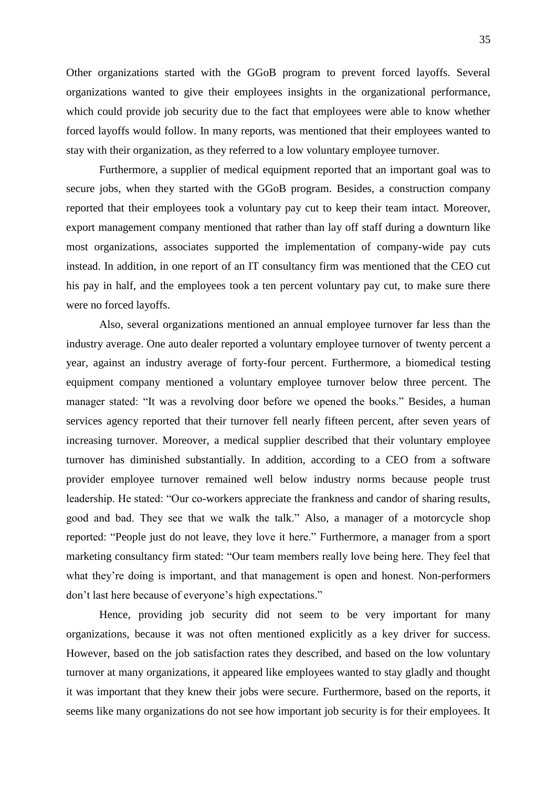Other organizations started with the GGoB program to prevent forced layoffs. Several organizations wanted to give their employees insights in the organizational performance, which could provide job security due to the fact that employees were able to know whether forced layoffs would follow. In many reports, was mentioned that their employees wanted to stay with their organization, as they referred to a low voluntary employee turnover.

Furthermore, a supplier of medical equipment reported that an important goal was to secure jobs, when they started with the GGoB program. Besides, a construction company reported that their employees took a voluntary pay cut to keep their team intact. Moreover, export management company mentioned that rather than lay off staff during a downturn like most organizations, associates supported the implementation of company-wide pay cuts instead. In addition, in one report of an IT consultancy firm was mentioned that the CEO cut his pay in half, and the employees took a ten percent voluntary pay cut, to make sure there were no forced layoffs.

Also, several organizations mentioned an annual employee turnover far less than the industry average. One auto dealer reported a voluntary employee turnover of twenty percent a year, against an industry average of forty-four percent. Furthermore, a biomedical testing equipment company mentioned a voluntary employee turnover below three percent. The manager stated: "It was a revolving door before we opened the books." Besides, a human services agency reported that their turnover fell nearly fifteen percent, after seven years of increasing turnover. Moreover, a medical supplier described that their voluntary employee turnover has diminished substantially. In addition, according to a CEO from a software provider employee turnover remained well below industry norms because people trust leadership. He stated: "Our co-workers appreciate the frankness and candor of sharing results, good and bad. They see that we walk the talk." Also, a manager of a motorcycle shop reported: "People just do not leave, they love it here." Furthermore, a manager from a sport marketing consultancy firm stated: "Our team members really love being here. They feel that what they're doing is important, and that management is open and honest. Non-performers don't last here because of everyone's high expectations."

Hence, providing job security did not seem to be very important for many organizations, because it was not often mentioned explicitly as a key driver for success. However, based on the job satisfaction rates they described, and based on the low voluntary turnover at many organizations, it appeared like employees wanted to stay gladly and thought it was important that they knew their jobs were secure. Furthermore, based on the reports, it seems like many organizations do not see how important job security is for their employees. It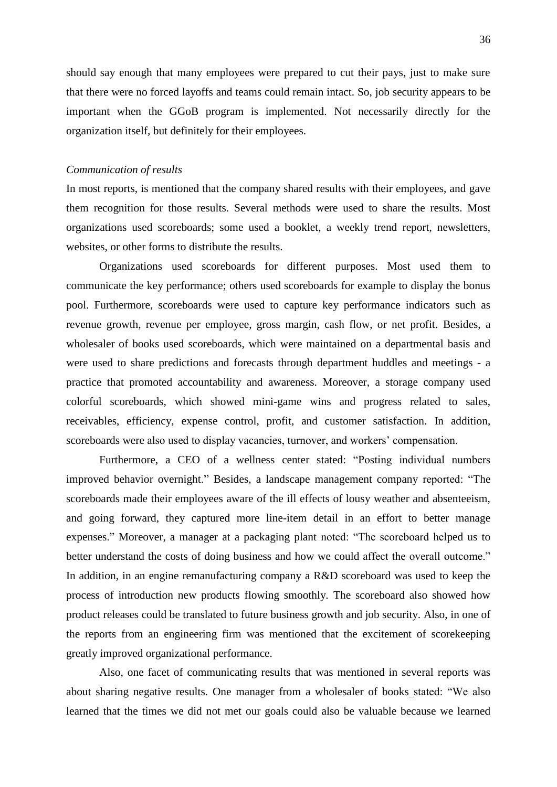should say enough that many employees were prepared to cut their pays, just to make sure that there were no forced layoffs and teams could remain intact. So, job security appears to be important when the GGoB program is implemented. Not necessarily directly for the organization itself, but definitely for their employees.

### <span id="page-35-0"></span>*Communication of results*

In most reports, is mentioned that the company shared results with their employees, and gave them recognition for those results. Several methods were used to share the results. Most organizations used scoreboards; some used a booklet, a weekly trend report, newsletters, websites, or other forms to distribute the results.

Organizations used scoreboards for different purposes. Most used them to communicate the key performance; others used scoreboards for example to display the bonus pool. Furthermore, scoreboards were used to capture key performance indicators such as revenue growth, revenue per employee, gross margin, cash flow, or net profit. Besides, a wholesaler of books used scoreboards, which were maintained on a departmental basis and were used to share predictions and forecasts through department huddles and meetings - a practice that promoted accountability and awareness. Moreover, a storage company used colorful scoreboards, which showed mini-game wins and progress related to sales, receivables, efficiency, expense control, profit, and customer satisfaction. In addition, scoreboards were also used to display vacancies, turnover, and workers' compensation.

Furthermore, a CEO of a wellness center stated: "Posting individual numbers improved behavior overnight." Besides, a landscape management company reported: "The scoreboards made their employees aware of the ill effects of lousy weather and absenteeism, and going forward, they captured more line-item detail in an effort to better manage expenses." Moreover, a manager at a packaging plant noted: "The scoreboard helped us to better understand the costs of doing business and how we could affect the overall outcome." In addition, in an engine remanufacturing company a R&D scoreboard was used to keep the process of introduction new products flowing smoothly. The scoreboard also showed how product releases could be translated to future business growth and job security. Also, in one of the reports from an engineering firm was mentioned that the excitement of scorekeeping greatly improved organizational performance.

Also, one facet of communicating results that was mentioned in several reports was about sharing negative results. One manager from a wholesaler of books stated: "We also learned that the times we did not met our goals could also be valuable because we learned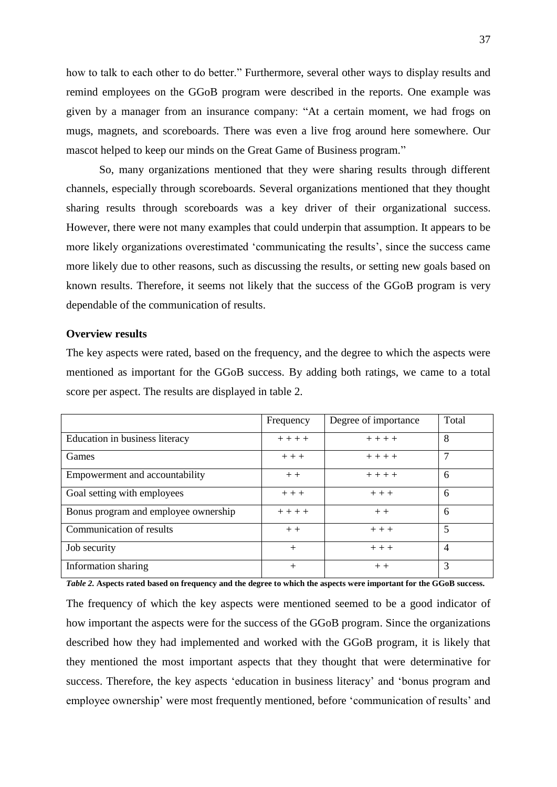how to talk to each other to do better." Furthermore, several other ways to display results and remind employees on the GGoB program were described in the reports. One example was given by a manager from an insurance company: "At a certain moment, we had frogs on mugs, magnets, and scoreboards. There was even a live frog around here somewhere. Our mascot helped to keep our minds on the Great Game of Business program."

So, many organizations mentioned that they were sharing results through different channels, especially through scoreboards. Several organizations mentioned that they thought sharing results through scoreboards was a key driver of their organizational success. However, there were not many examples that could underpin that assumption. It appears to be more likely organizations overestimated 'communicating the results', since the success came more likely due to other reasons, such as discussing the results, or setting new goals based on known results. Therefore, it seems not likely that the success of the GGoB program is very dependable of the communication of results.

#### <span id="page-36-0"></span>**Overview results**

The key aspects were rated, based on the frequency, and the degree to which the aspects were mentioned as important for the GGoB success. By adding both ratings, we came to a total score per aspect. The results are displayed in table 2.

|                                      | Frequency | Degree of importance | Total          |
|--------------------------------------|-----------|----------------------|----------------|
| Education in business literacy       | $+ + + +$ | $+ + + +$            | 8              |
| Games                                | $++$      | $++++$               | $\mathcal{I}$  |
| Empowerment and accountability       | $++$      | $++++$               | 6              |
| Goal setting with employees          | $++$      | $++$                 | 6              |
| Bonus program and employee ownership | $+ + + +$ | $++$                 | 6              |
| Communication of results             | $++$      | $++$                 | 5              |
| Job security                         | $^{+}$    | $++$                 | $\overline{4}$ |
| Information sharing                  | $^{+}$    | $++$                 | 3              |

*Table 2.* **Aspects rated based on frequency and the degree to which the aspects were important for the GGoB success.**

The frequency of which the key aspects were mentioned seemed to be a good indicator of how important the aspects were for the success of the GGoB program. Since the organizations described how they had implemented and worked with the GGoB program, it is likely that they mentioned the most important aspects that they thought that were determinative for success. Therefore, the key aspects 'education in business literacy' and 'bonus program and employee ownership' were most frequently mentioned, before ‗communication of results' and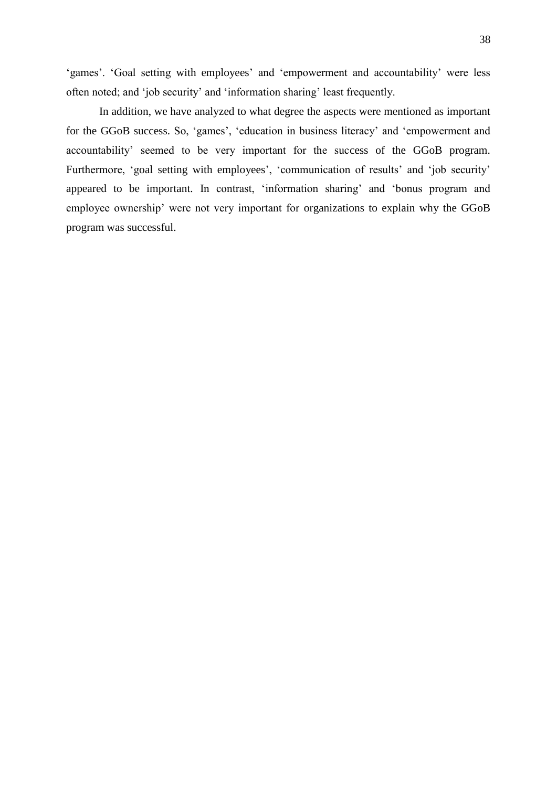‗games'. ‗Goal setting with employees' and ‗empowerment and accountability' were less often noted; and ‗job security' and ‗information sharing' least frequently.

In addition, we have analyzed to what degree the aspects were mentioned as important for the GGoB success. So, 'games', 'education in business literacy' and 'empowerment and accountability' seemed to be very important for the success of the GGoB program. Furthermore, 'goal setting with employees', 'communication of results' and 'job security' appeared to be important. In contrast, 'information sharing' and 'bonus program and employee ownership' were not very important for organizations to explain why the GGoB program was successful.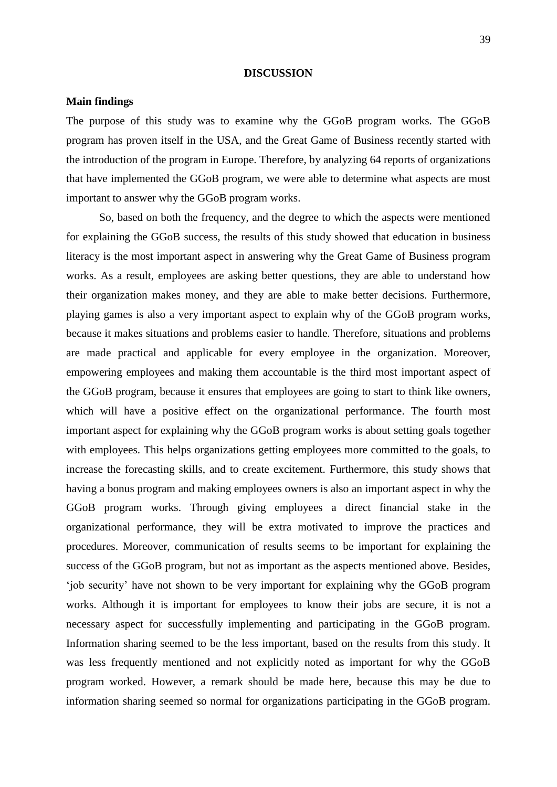#### **DISCUSSION**

## <span id="page-38-1"></span><span id="page-38-0"></span>**Main findings**

The purpose of this study was to examine why the GGoB program works. The GGoB program has proven itself in the USA, and the Great Game of Business recently started with the introduction of the program in Europe. Therefore, by analyzing 64 reports of organizations that have implemented the GGoB program, we were able to determine what aspects are most important to answer why the GGoB program works.

So, based on both the frequency, and the degree to which the aspects were mentioned for explaining the GGoB success, the results of this study showed that education in business literacy is the most important aspect in answering why the Great Game of Business program works. As a result, employees are asking better questions, they are able to understand how their organization makes money, and they are able to make better decisions. Furthermore, playing games is also a very important aspect to explain why of the GGoB program works, because it makes situations and problems easier to handle. Therefore, situations and problems are made practical and applicable for every employee in the organization. Moreover, empowering employees and making them accountable is the third most important aspect of the GGoB program, because it ensures that employees are going to start to think like owners, which will have a positive effect on the organizational performance. The fourth most important aspect for explaining why the GGoB program works is about setting goals together with employees. This helps organizations getting employees more committed to the goals, to increase the forecasting skills, and to create excitement. Furthermore, this study shows that having a bonus program and making employees owners is also an important aspect in why the GGoB program works. Through giving employees a direct financial stake in the organizational performance, they will be extra motivated to improve the practices and procedures. Moreover, communication of results seems to be important for explaining the success of the GGoB program, but not as important as the aspects mentioned above. Besides, ‗job security' have not shown to be very important for explaining why the GGoB program works. Although it is important for employees to know their jobs are secure, it is not a necessary aspect for successfully implementing and participating in the GGoB program. Information sharing seemed to be the less important, based on the results from this study. It was less frequently mentioned and not explicitly noted as important for why the GGoB program worked. However, a remark should be made here, because this may be due to information sharing seemed so normal for organizations participating in the GGoB program.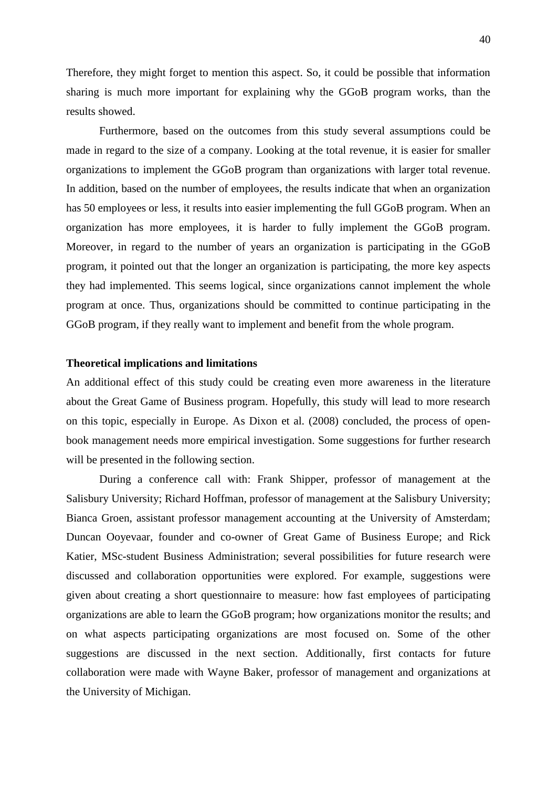Therefore, they might forget to mention this aspect. So, it could be possible that information sharing is much more important for explaining why the GGoB program works, than the results showed.

Furthermore, based on the outcomes from this study several assumptions could be made in regard to the size of a company. Looking at the total revenue, it is easier for smaller organizations to implement the GGoB program than organizations with larger total revenue. In addition, based on the number of employees, the results indicate that when an organization has 50 employees or less, it results into easier implementing the full GGoB program. When an organization has more employees, it is harder to fully implement the GGoB program. Moreover, in regard to the number of years an organization is participating in the GGoB program, it pointed out that the longer an organization is participating, the more key aspects they had implemented. This seems logical, since organizations cannot implement the whole program at once. Thus, organizations should be committed to continue participating in the GGoB program, if they really want to implement and benefit from the whole program.

## <span id="page-39-0"></span>**Theoretical implications and limitations**

An additional effect of this study could be creating even more awareness in the literature about the Great Game of Business program. Hopefully, this study will lead to more research on this topic, especially in Europe. As Dixon et al. (2008) concluded, the process of openbook management needs more empirical investigation. Some suggestions for further research will be presented in the following section.

During a conference call with: Frank Shipper, professor of management at the Salisbury University; Richard Hoffman, professor of management at the Salisbury University; Bianca Groen, assistant professor management accounting at the University of Amsterdam; Duncan Ooyevaar, founder and co-owner of Great Game of Business Europe; and Rick Katier, MSc-student Business Administration; several possibilities for future research were discussed and collaboration opportunities were explored. For example, suggestions were given about creating a short questionnaire to measure: how fast employees of participating organizations are able to learn the GGoB program; how organizations monitor the results; and on what aspects participating organizations are most focused on. Some of the other suggestions are discussed in the next section. Additionally, first contacts for future collaboration were made with Wayne Baker, professor of management and organizations at the University of Michigan.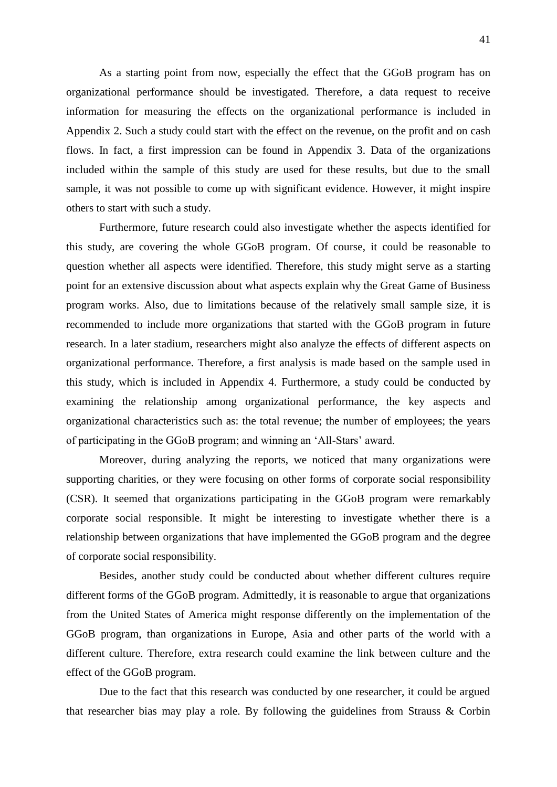As a starting point from now, especially the effect that the GGoB program has on organizational performance should be investigated. Therefore, a data request to receive information for measuring the effects on the organizational performance is included in Appendix 2. Such a study could start with the effect on the revenue, on the profit and on cash flows. In fact, a first impression can be found in Appendix 3. Data of the organizations included within the sample of this study are used for these results, but due to the small sample, it was not possible to come up with significant evidence. However, it might inspire others to start with such a study.

Furthermore, future research could also investigate whether the aspects identified for this study, are covering the whole GGoB program. Of course, it could be reasonable to question whether all aspects were identified. Therefore, this study might serve as a starting point for an extensive discussion about what aspects explain why the Great Game of Business program works. Also, due to limitations because of the relatively small sample size, it is recommended to include more organizations that started with the GGoB program in future research. In a later stadium, researchers might also analyze the effects of different aspects on organizational performance. Therefore, a first analysis is made based on the sample used in this study, which is included in Appendix 4. Furthermore, a study could be conducted by examining the relationship among organizational performance, the key aspects and organizational characteristics such as: the total revenue; the number of employees; the years of participating in the GGoB program; and winning an ‗All-Stars' award.

Moreover, during analyzing the reports, we noticed that many organizations were supporting charities, or they were focusing on other forms of corporate social responsibility (CSR). It seemed that organizations participating in the GGoB program were remarkably corporate social responsible. It might be interesting to investigate whether there is a relationship between organizations that have implemented the GGoB program and the degree of corporate social responsibility.

Besides, another study could be conducted about whether different cultures require different forms of the GGoB program. Admittedly, it is reasonable to argue that organizations from the United States of America might response differently on the implementation of the GGoB program, than organizations in Europe, Asia and other parts of the world with a different culture. Therefore, extra research could examine the link between culture and the effect of the GGoB program.

Due to the fact that this research was conducted by one researcher, it could be argued that researcher bias may play a role. By following the guidelines from Strauss & Corbin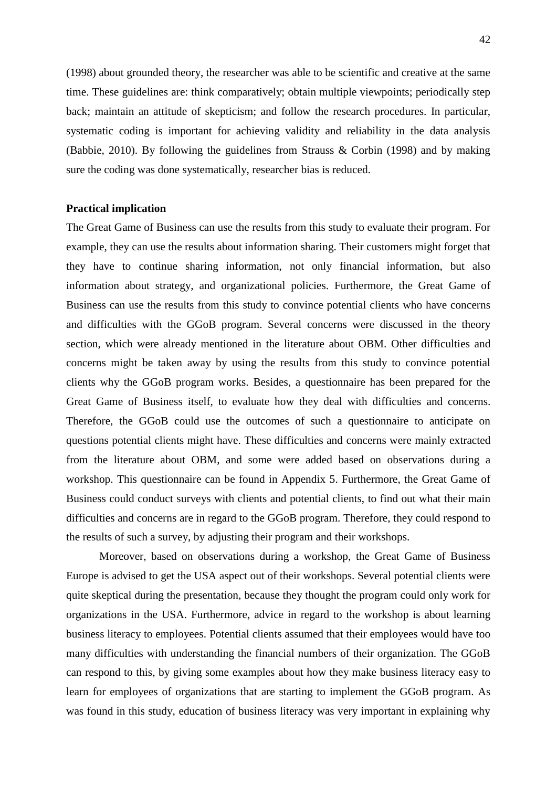(1998) about grounded theory, the researcher was able to be scientific and creative at the same time. These guidelines are: think comparatively; obtain multiple viewpoints; periodically step back; maintain an attitude of skepticism; and follow the research procedures. In particular, systematic coding is important for achieving validity and reliability in the data analysis (Babbie, 2010). By following the guidelines from Strauss & Corbin (1998) and by making sure the coding was done systematically, researcher bias is reduced.

#### <span id="page-41-0"></span>**Practical implication**

The Great Game of Business can use the results from this study to evaluate their program. For example, they can use the results about information sharing. Their customers might forget that they have to continue sharing information, not only financial information, but also information about strategy, and organizational policies. Furthermore, the Great Game of Business can use the results from this study to convince potential clients who have concerns and difficulties with the GGoB program. Several concerns were discussed in the theory section, which were already mentioned in the literature about OBM. Other difficulties and concerns might be taken away by using the results from this study to convince potential clients why the GGoB program works. Besides, a questionnaire has been prepared for the Great Game of Business itself, to evaluate how they deal with difficulties and concerns. Therefore, the GGoB could use the outcomes of such a questionnaire to anticipate on questions potential clients might have. These difficulties and concerns were mainly extracted from the literature about OBM, and some were added based on observations during a workshop. This questionnaire can be found in Appendix 5. Furthermore, the Great Game of Business could conduct surveys with clients and potential clients, to find out what their main difficulties and concerns are in regard to the GGoB program. Therefore, they could respond to the results of such a survey, by adjusting their program and their workshops.

Moreover, based on observations during a workshop, the Great Game of Business Europe is advised to get the USA aspect out of their workshops. Several potential clients were quite skeptical during the presentation, because they thought the program could only work for organizations in the USA. Furthermore, advice in regard to the workshop is about learning business literacy to employees. Potential clients assumed that their employees would have too many difficulties with understanding the financial numbers of their organization. The GGoB can respond to this, by giving some examples about how they make business literacy easy to learn for employees of organizations that are starting to implement the GGoB program. As was found in this study, education of business literacy was very important in explaining why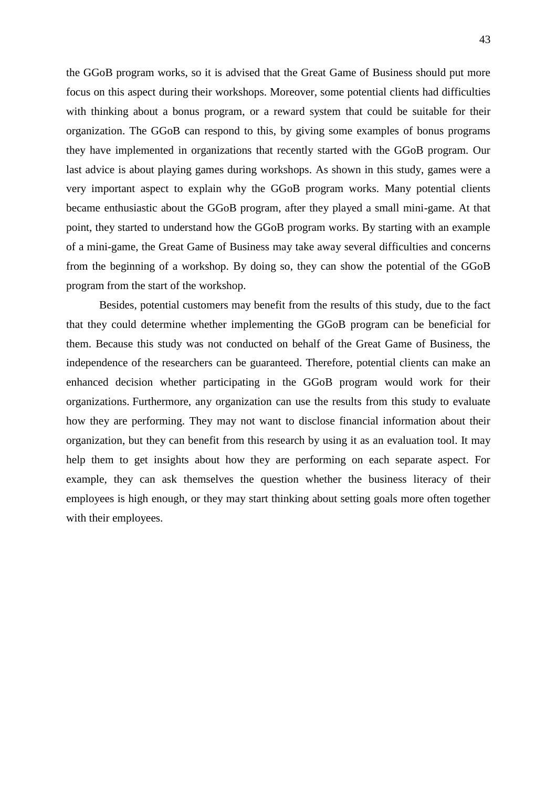the GGoB program works, so it is advised that the Great Game of Business should put more focus on this aspect during their workshops. Moreover, some potential clients had difficulties with thinking about a bonus program, or a reward system that could be suitable for their organization. The GGoB can respond to this, by giving some examples of bonus programs they have implemented in organizations that recently started with the GGoB program. Our last advice is about playing games during workshops. As shown in this study, games were a very important aspect to explain why the GGoB program works. Many potential clients became enthusiastic about the GGoB program, after they played a small mini-game. At that point, they started to understand how the GGoB program works. By starting with an example of a mini-game, the Great Game of Business may take away several difficulties and concerns from the beginning of a workshop. By doing so, they can show the potential of the GGoB program from the start of the workshop.

Besides, potential customers may benefit from the results of this study, due to the fact that they could determine whether implementing the GGoB program can be beneficial for them. Because this study was not conducted on behalf of the Great Game of Business, the independence of the researchers can be guaranteed. Therefore, potential clients can make an enhanced decision whether participating in the GGoB program would work for their organizations. Furthermore, any organization can use the results from this study to evaluate how they are performing. They may not want to disclose financial information about their organization, but they can benefit from this research by using it as an evaluation tool. It may help them to get insights about how they are performing on each separate aspect. For example, they can ask themselves the question whether the business literacy of their employees is high enough, or they may start thinking about setting goals more often together with their employees.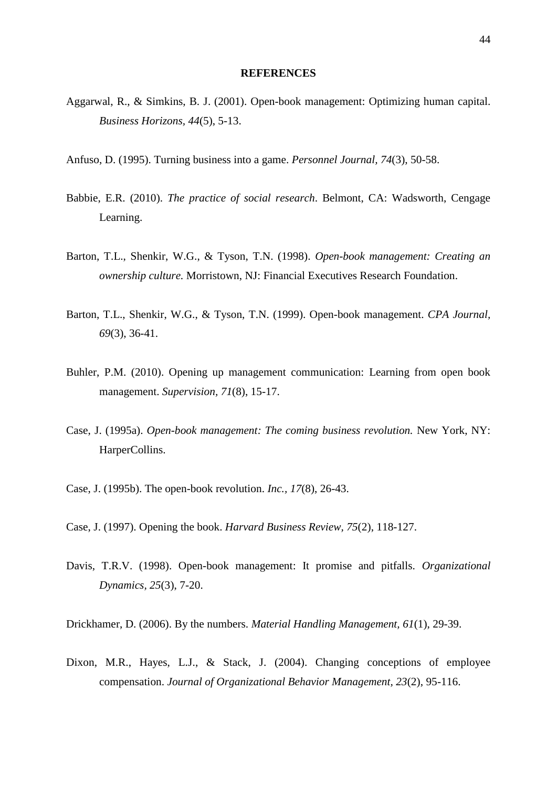#### **REFERENCES**

- <span id="page-43-0"></span>Aggarwal, R., & Simkins, B. J. (2001). Open-book management: Optimizing human capital. *Business Horizons, 44*(5), 5-13.
- Anfuso, D. (1995). Turning business into a game. *Personnel Journal, 74*(3), 50-58.
- Babbie, E.R. (2010). *The practice of social research*. Belmont, CA: Wadsworth, Cengage Learning.
- Barton, T.L., Shenkir, W.G., & Tyson, T.N. (1998). *Open-book management: Creating an ownership culture.* Morristown, NJ: Financial Executives Research Foundation.
- Barton, T.L., Shenkir, W.G., & Tyson, T.N. (1999). Open-book management. *CPA Journal, 69*(3), 36-41.
- Buhler, P.M. (2010). Opening up management communication: Learning from open book management. *Supervision, 71*(8), 15-17.
- Case, J. (1995a). *Open-book management: The coming business revolution.* New York, NY: HarperCollins.
- Case, J. (1995b). The open-book revolution. *Inc., 17*(8), 26-43.
- Case, J. (1997). Opening the book. *Harvard Business Review, 75*(2), 118-127.
- Davis, T.R.V. (1998). Open-book management: It promise and pitfalls. *Organizational Dynamics, 25*(3), 7-20.
- Drickhamer, D. (2006). By the numbers. *Material Handling Management, 61*(1), 29-39.
- Dixon, M.R., Hayes, L.J., & Stack, J. (2004). Changing conceptions of employee compensation. *Journal of Organizational Behavior Management, 23*(2), 95-116.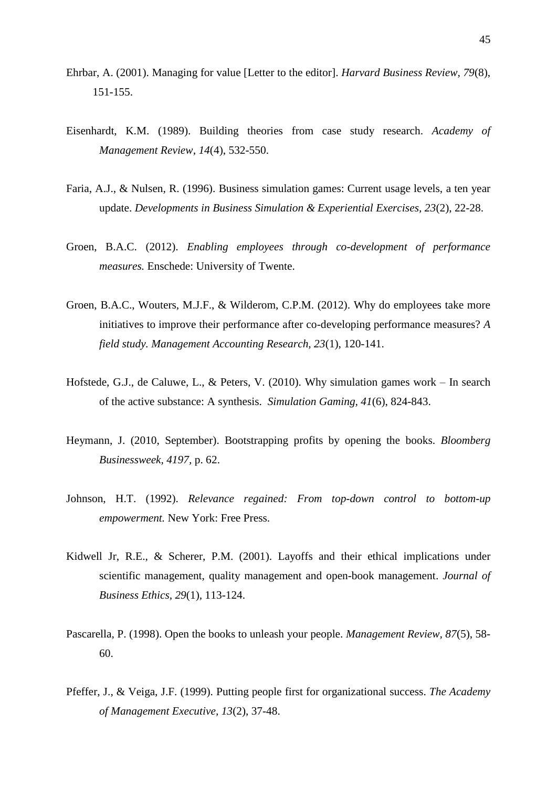- Ehrbar, A. (2001). Managing for value [Letter to the editor]. *Harvard Business Review, 79*(8), 151-155.
- Eisenhardt, K.M. (1989). Building theories from case study research. *Academy of Management Review, 14*(4), 532-550.
- Faria, A.J., & Nulsen, R. (1996). Business simulation games: Current usage levels, a ten year update. *Developments in Business Simulation & Experiential Exercises, 23*(2), 22-28.
- Groen, B.A.C. (2012). *Enabling employees through co-development of performance measures.* Enschede: University of Twente.
- Groen, B.A.C., Wouters, M.J.F., & Wilderom, C.P.M. (2012). Why do employees take more initiatives to improve their performance after co-developing performance measures? *A field study. Management Accounting Research, 23*(1), 120-141.
- Hofstede, G.J., de Caluwe, L., & Peters, V. (2010). Why simulation games work In search of the active substance: A synthesis. *Simulation Gaming, 41*(6), 824-843.
- Heymann, J. (2010, September). Bootstrapping profits by opening the books. *Bloomberg Businessweek, 4197,* p. 62.
- Johnson, H.T. (1992). *Relevance regained: From top-down control to bottom-up empowerment.* New York: Free Press.
- Kidwell Jr, R.E., & Scherer, P.M. (2001). Layoffs and their ethical implications under scientific management, quality management and open-book management. *Journal of Business Ethics, 29*(1)*,* 113-124.
- Pascarella, P. (1998). Open the books to unleash your people. *Management Review, 87*(5), 58- 60.
- Pfeffer, J., & Veiga, J.F. (1999). Putting people first for organizational success. *The Academy of Management Executive, 13*(2), 37-48.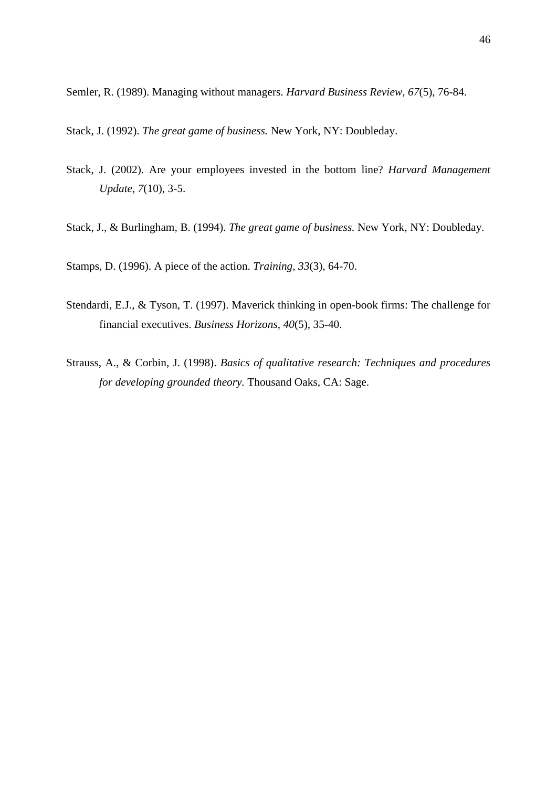Semler, R. (1989). Managing without managers. *Harvard Business Review, 67*(5), 76-84.

Stack, J. (1992). *The great game of business.* New York, NY: Doubleday.

- Stack, J. (2002). Are your employees invested in the bottom line? *Harvard Management Update, 7*(10), 3-5.
- Stack, J., & Burlingham, B. (1994). *The great game of business.* New York, NY: Doubleday.

Stamps, D. (1996). A piece of the action. *Training, 33*(3), 64-70.

- Stendardi, E.J., & Tyson, T. (1997). Maverick thinking in open-book firms: The challenge for financial executives. *Business Horizons, 40*(5)*,* 35-40.
- Strauss, A., & Corbin, J. (1998). *Basics of qualitative research: Techniques and procedures for developing grounded theory.* Thousand Oaks, CA: Sage.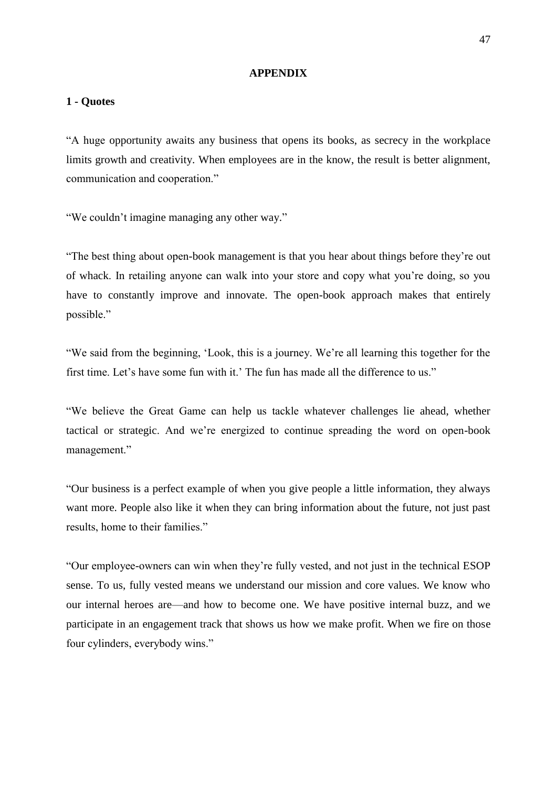#### **APPENDIX**

#### <span id="page-46-1"></span><span id="page-46-0"></span>**1 - Quotes**

―A huge opportunity awaits any business that opens its books, as secrecy in the workplace limits growth and creativity. When employees are in the know, the result is better alignment, communication and cooperation."

"We couldn't imagine managing any other way."

―The best thing about open-book management is that you hear about things before they're out of whack. In retailing anyone can walk into your store and copy what you're doing, so you have to constantly improve and innovate. The open-book approach makes that entirely possible."

―We said from the beginning, ‗Look, this is a journey. We're all learning this together for the first time. Let's have some fun with it.' The fun has made all the difference to us."

―We believe the Great Game can help us tackle whatever challenges lie ahead, whether tactical or strategic. And we're energized to continue spreading the word on open-book management."

―Our business is a perfect example of when you give people a little information, they always want more. People also like it when they can bring information about the future, not just past results, home to their families."

―Our employee-owners can win when they're fully vested, and not just in the technical ESOP sense. To us, fully vested means we understand our mission and core values. We know who our internal heroes are—and how to become one. We have positive internal buzz, and we participate in an engagement track that shows us how we make profit. When we fire on those four cylinders, everybody wins."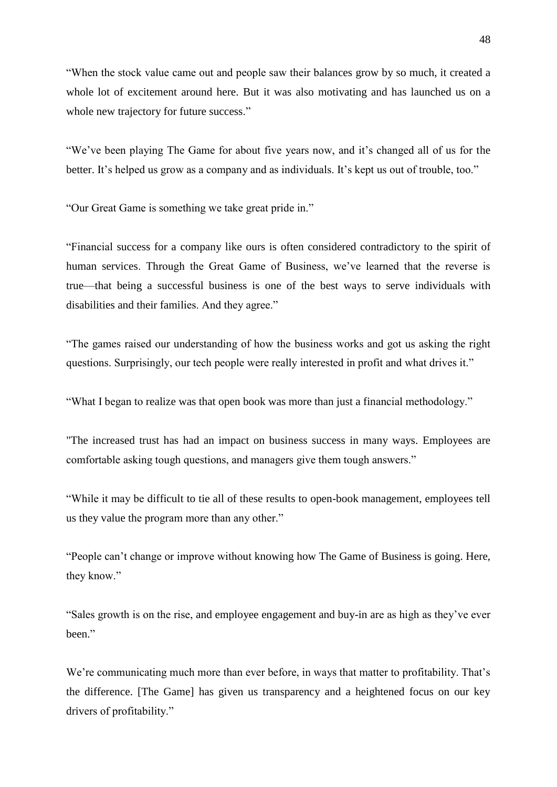―When the stock value came out and people saw their balances grow by so much, it created a whole lot of excitement around here. But it was also motivating and has launched us on a whole new trajectory for future success."

―We've been playing The Game for about five years now, and it's changed all of us for the better. It's helped us grow as a company and as individuals. It's kept us out of trouble, too."

"Our Great Game is something we take great pride in."

―Financial success for a company like ours is often considered contradictory to the spirit of human services. Through the Great Game of Business, we've learned that the reverse is true—that being a successful business is one of the best ways to serve individuals with disabilities and their families. And they agree."

―The games raised our understanding of how the business works and got us asking the right questions. Surprisingly, our tech people were really interested in profit and what drives it."

"What I began to realize was that open book was more than just a financial methodology."

"The increased trust has had an impact on business success in many ways. Employees are comfortable asking tough questions, and managers give them tough answers."

―While it may be difficult to tie all of these results to open-book management, employees tell us they value the program more than any other."

―People can't change or improve without knowing how The Game of Business is going. Here, they know."

―Sales growth is on the rise, and employee engagement and buy-in are as high as they've ever heen."

We're communicating much more than ever before, in ways that matter to profitability. That's the difference. [The Game] has given us transparency and a heightened focus on our key drivers of profitability."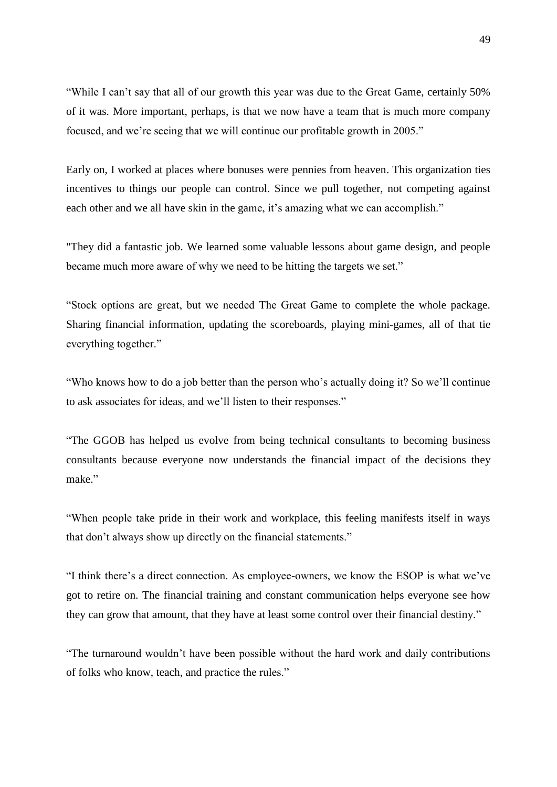―While I can't say that all of our growth this year was due to the Great Game, certainly 50% of it was. More important, perhaps, is that we now have a team that is much more company focused, and we're seeing that we will continue our profitable growth in 2005."

Early on, I worked at places where bonuses were pennies from heaven. This organization ties incentives to things our people can control. Since we pull together, not competing against each other and we all have skin in the game, it's amazing what we can accomplish."

"They did a fantastic job. We learned some valuable lessons about game design, and people became much more aware of why we need to be hitting the targets we set."

―Stock options are great, but we needed The Great Game to complete the whole package. Sharing financial information, updating the scoreboards, playing mini-games, all of that tie everything together."

―Who knows how to do a job better than the person who's actually doing it? So we'll continue to ask associates for ideas, and we'll listen to their responses."

―The GGOB has helped us evolve from being technical consultants to becoming business consultants because everyone now understands the financial impact of the decisions they make."

―When people take pride in their work and workplace, this feeling manifests itself in ways that don't always show up directly on the financial statements."

―I think there's a direct connection. As employee-owners, we know the ESOP is what we've got to retire on. The financial training and constant communication helps everyone see how they can grow that amount, that they have at least some control over their financial destiny."

―The turnaround wouldn't have been possible without the hard work and daily contributions of folks who know, teach, and practice the rules."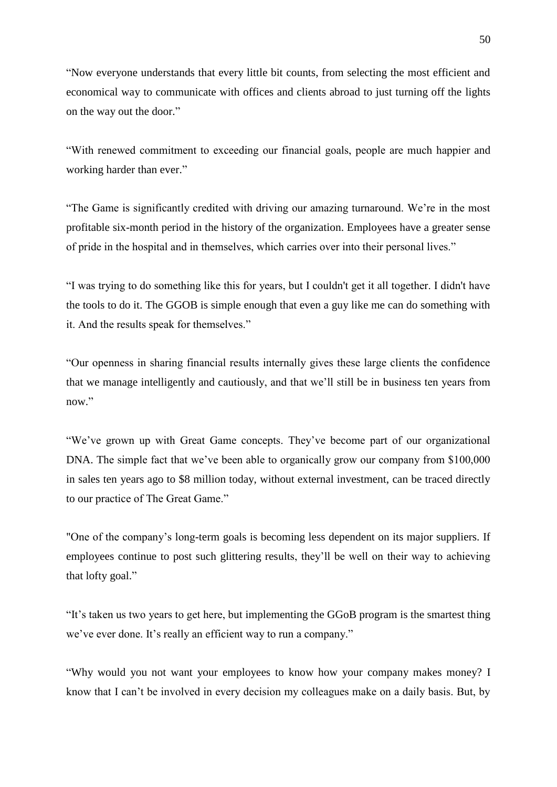―Now everyone understands that every little bit counts, from selecting the most efficient and economical way to communicate with offices and clients abroad to just turning off the lights on the way out the door."

―With renewed commitment to exceeding our financial goals, people are much happier and working harder than ever."

―The Game is significantly credited with driving our amazing turnaround. We're in the most profitable six-month period in the history of the organization. Employees have a greater sense of pride in the hospital and in themselves, which carries over into their personal lives."

―I was trying to do something like this for years, but I couldn't get it all together. I didn't have the tools to do it. The GGOB is simple enough that even a guy like me can do something with it. And the results speak for themselves."

―Our openness in sharing financial results internally gives these large clients the confidence that we manage intelligently and cautiously, and that we'll still be in business ten years from now."

―We've grown up with Great Game concepts. They've become part of our organizational DNA. The simple fact that we've been able to organically grow our company from \$100,000 in sales ten years ago to \$8 million today, without external investment, can be traced directly to our practice of The Great Game."

"One of the company's long-term goals is becoming less dependent on its major suppliers. If employees continue to post such glittering results, they'll be well on their way to achieving that lofty goal."

"It's taken us two years to get here, but implementing the GGoB program is the smartest thing we've ever done. It's really an efficient way to run a company."

"Why would you not want your employees to know how your company makes money? I know that I can't be involved in every decision my colleagues make on a daily basis. But, by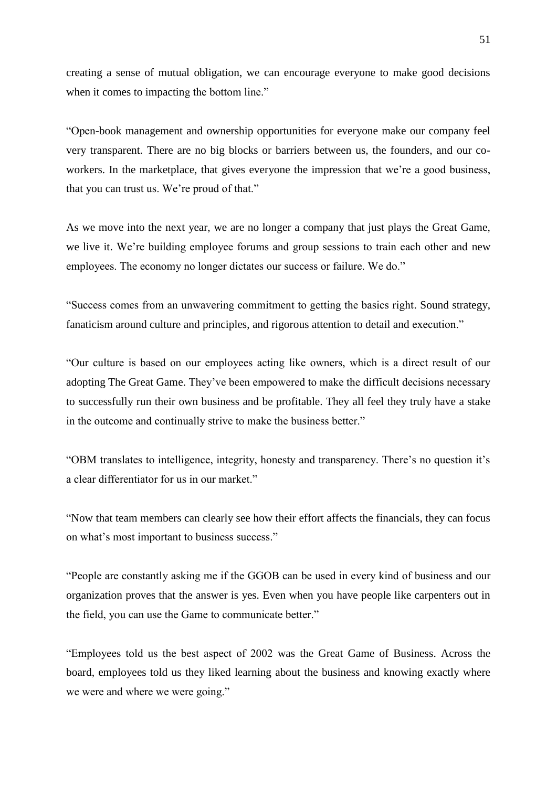creating a sense of mutual obligation, we can encourage everyone to make good decisions when it comes to impacting the bottom line."

―Open-book management and ownership opportunities for everyone make our company feel very transparent. There are no big blocks or barriers between us, the founders, and our coworkers. In the marketplace, that gives everyone the impression that we're a good business, that you can trust us. We're proud of that."

As we move into the next year, we are no longer a company that just plays the Great Game, we live it. We're building employee forums and group sessions to train each other and new employees. The economy no longer dictates our success or failure. We do."

―Success comes from an unwavering commitment to getting the basics right. Sound strategy, fanaticism around culture and principles, and rigorous attention to detail and execution."

―Our culture is based on our employees acting like owners, which is a direct result of our adopting The Great Game. They've been empowered to make the difficult decisions necessary to successfully run their own business and be profitable. They all feel they truly have a stake in the outcome and continually strive to make the business better."

―OBM translates to intelligence, integrity, honesty and transparency. There's no question it's a clear differentiator for us in our market."

―Now that team members can clearly see how their effort affects the financials, they can focus on what's most important to business success."

―People are constantly asking me if the GGOB can be used in every kind of business and our organization proves that the answer is yes. Even when you have people like carpenters out in the field, you can use the Game to communicate better."

―Employees told us the best aspect of 2002 was the Great Game of Business. Across the board, employees told us they liked learning about the business and knowing exactly where we were and where we were going."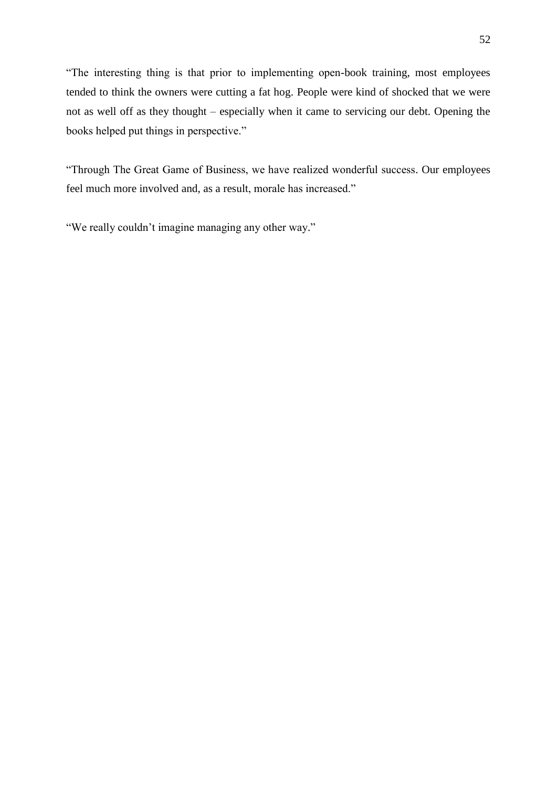―The interesting thing is that prior to implementing open-book training, most employees tended to think the owners were cutting a fat hog. People were kind of shocked that we were not as well off as they thought – especially when it came to servicing our debt. Opening the books helped put things in perspective."

―Through The Great Game of Business, we have realized wonderful success. Our employees feel much more involved and, as a result, morale has increased."

"We really couldn't imagine managing any other way."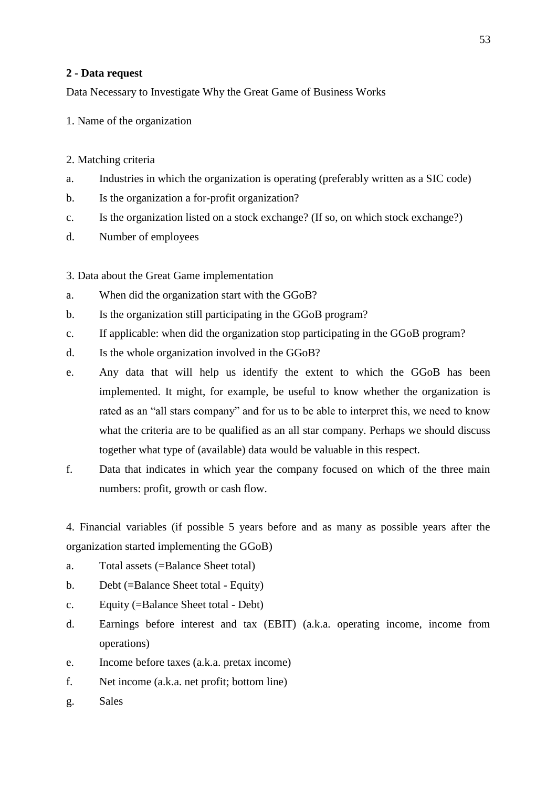## <span id="page-52-0"></span>**2 - Data request**

Data Necessary to Investigate Why the Great Game of Business Works

- 1. Name of the organization
- 2. Matching criteria
- a. Industries in which the organization is operating (preferably written as a SIC code)
- b. Is the organization a for-profit organization?
- c. Is the organization listed on a stock exchange? (If so, on which stock exchange?)
- d. Number of employees
- 3. Data about the Great Game implementation
- a. When did the organization start with the GGoB?
- b. Is the organization still participating in the GGoB program?
- c. If applicable: when did the organization stop participating in the GGoB program?
- d. Is the whole organization involved in the GGoB?
- e. Any data that will help us identify the extent to which the GGoB has been implemented. It might, for example, be useful to know whether the organization is rated as an "all stars company" and for us to be able to interpret this, we need to know what the criteria are to be qualified as an all star company. Perhaps we should discuss together what type of (available) data would be valuable in this respect.
- f. Data that indicates in which year the company focused on which of the three main numbers: profit, growth or cash flow.

4. Financial variables (if possible 5 years before and as many as possible years after the organization started implementing the GGoB)

- a. Total assets (=Balance Sheet total)
- b. Debt (=Balance Sheet total Equity)
- c. Equity (=Balance Sheet total Debt)
- d. Earnings before interest and tax (EBIT) (a.k.a. operating income, income from operations)
- e. Income before taxes (a.k.a. pretax income)
- f. Net income (a.k.a. net profit; bottom line)
- g. Sales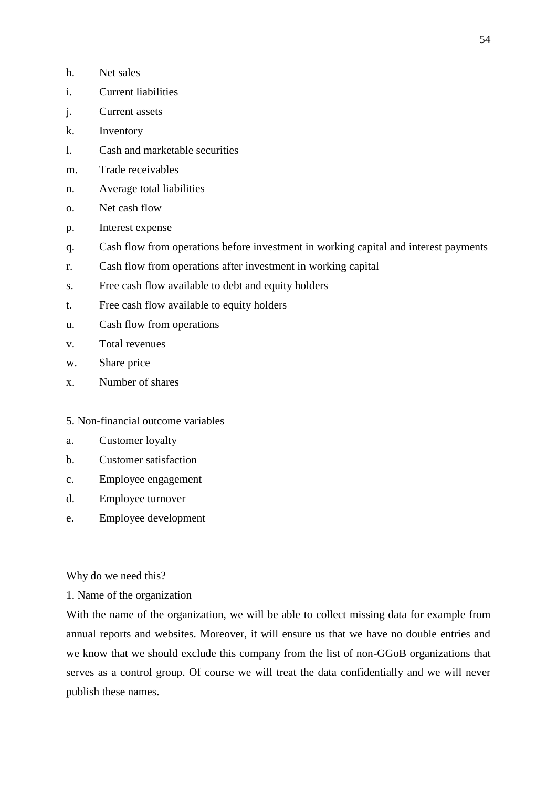- h. Net sales
- i. Current liabilities
- j. Current assets
- k. Inventory
- l. Cash and marketable securities
- m. Trade receivables
- n. Average total liabilities
- o. Net cash flow
- p. Interest expense
- q. Cash flow from operations before investment in working capital and interest payments
- r. Cash flow from operations after investment in working capital
- s. Free cash flow available to debt and equity holders
- t. Free cash flow available to equity holders
- u. Cash flow from operations
- v. Total revenues
- w. Share price
- x. Number of shares
- 5. Non-financial outcome variables
- a. Customer loyalty
- b. Customer satisfaction
- c. Employee engagement
- d. Employee turnover
- e. Employee development

Why do we need this?

1. Name of the organization

With the name of the organization, we will be able to collect missing data for example from annual reports and websites. Moreover, it will ensure us that we have no double entries and we know that we should exclude this company from the list of non-GGoB organizations that serves as a control group. Of course we will treat the data confidentially and we will never publish these names.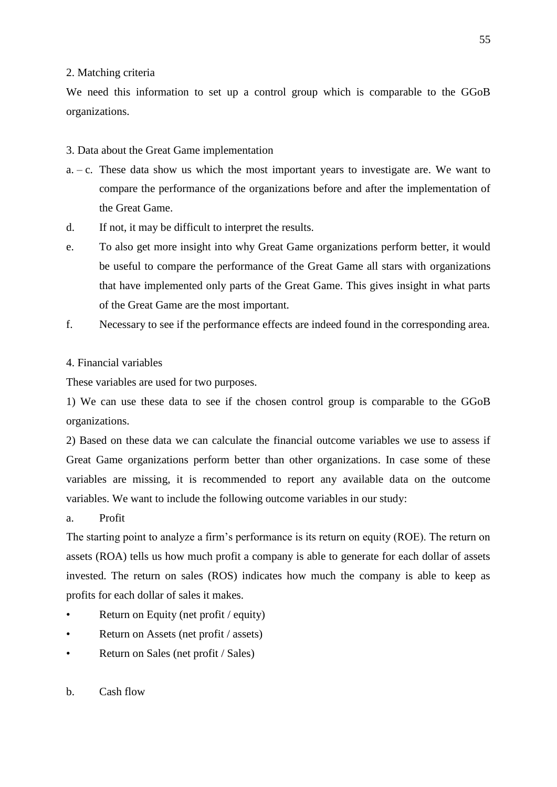## 2. Matching criteria

We need this information to set up a control group which is comparable to the GGoB organizations.

## 3. Data about the Great Game implementation

- a.  $-c$ . These data show us which the most important years to investigate are. We want to compare the performance of the organizations before and after the implementation of the Great Game.
- d. If not, it may be difficult to interpret the results.
- e. To also get more insight into why Great Game organizations perform better, it would be useful to compare the performance of the Great Game all stars with organizations that have implemented only parts of the Great Game. This gives insight in what parts of the Great Game are the most important.
- f. Necessary to see if the performance effects are indeed found in the corresponding area.

## 4. Financial variables

These variables are used for two purposes.

1) We can use these data to see if the chosen control group is comparable to the GGoB organizations.

2) Based on these data we can calculate the financial outcome variables we use to assess if Great Game organizations perform better than other organizations. In case some of these variables are missing, it is recommended to report any available data on the outcome variables. We want to include the following outcome variables in our study:

a. Profit

The starting point to analyze a firm's performance is its return on equity (ROE). The return on assets (ROA) tells us how much profit a company is able to generate for each dollar of assets invested. The return on sales (ROS) indicates how much the company is able to keep as profits for each dollar of sales it makes.

- Return on Equity (net profit / equity)
- Return on Assets (net profit / assets)
- Return on Sales (net profit / Sales)
- b. Cash flow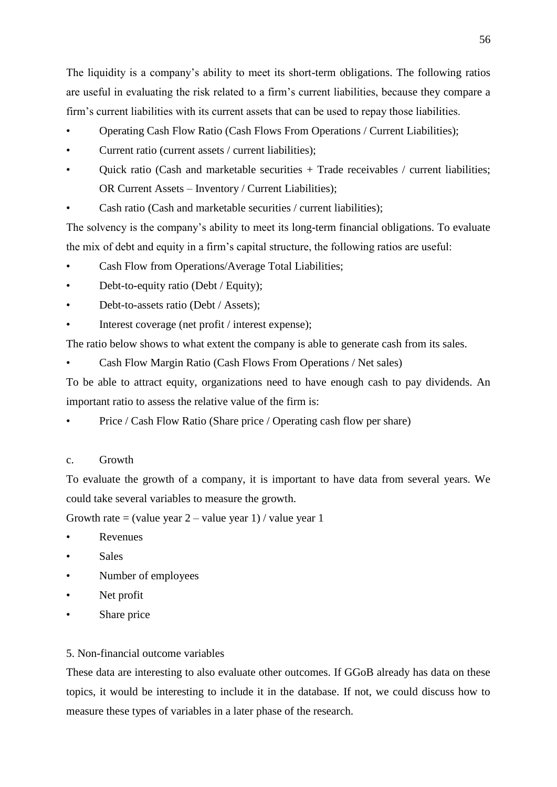The liquidity is a company's ability to meet its short-term obligations. The following ratios are useful in evaluating the risk related to a firm's current liabilities, because they compare a firm's current liabilities with its current assets that can be used to repay those liabilities.

- Operating Cash Flow Ratio (Cash Flows From Operations / Current Liabilities);
- Current ratio (current assets / current liabilities);
- Quick ratio (Cash and marketable securities + Trade receivables / current liabilities; OR Current Assets – Inventory / Current Liabilities);
- Cash ratio (Cash and marketable securities / current liabilities);

The solvency is the company's ability to meet its long-term financial obligations. To evaluate the mix of debt and equity in a firm's capital structure, the following ratios are useful:

- Cash Flow from Operations/Average Total Liabilities;
- Debt-to-equity ratio (Debt / Equity);
- Debt-to-assets ratio (Debt / Assets);
- Interest coverage (net profit / interest expense);

The ratio below shows to what extent the company is able to generate cash from its sales.

• Cash Flow Margin Ratio (Cash Flows From Operations / Net sales)

To be able to attract equity, organizations need to have enough cash to pay dividends. An important ratio to assess the relative value of the firm is:

Price / Cash Flow Ratio (Share price / Operating cash flow per share)

## c. Growth

To evaluate the growth of a company, it is important to have data from several years. We could take several variables to measure the growth.

Growth rate = (value year  $2$  – value year 1) / value year 1

- **Revenues**
- Sales
- Number of employees
- Net profit
- Share price

## 5. Non-financial outcome variables

These data are interesting to also evaluate other outcomes. If GGoB already has data on these topics, it would be interesting to include it in the database. If not, we could discuss how to measure these types of variables in a later phase of the research.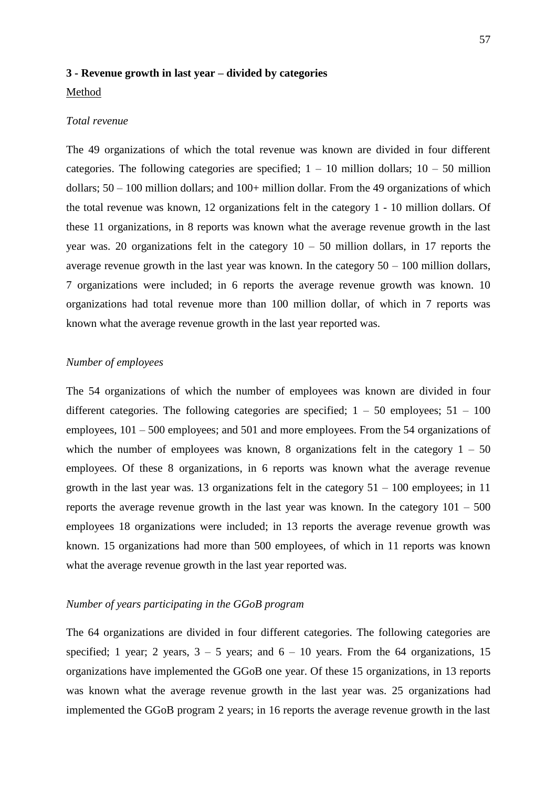### <span id="page-56-0"></span>**3 - Revenue growth in last year – divided by categories**

## Method

#### *Total revenue*

The 49 organizations of which the total revenue was known are divided in four different categories. The following categories are specified;  $1 - 10$  million dollars;  $10 - 50$  million dollars; 50 – 100 million dollars; and 100+ million dollar. From the 49 organizations of which the total revenue was known, 12 organizations felt in the category 1 - 10 million dollars. Of these 11 organizations, in 8 reports was known what the average revenue growth in the last year was. 20 organizations felt in the category  $10 - 50$  million dollars, in 17 reports the average revenue growth in the last year was known. In the category  $50 - 100$  million dollars, 7 organizations were included; in 6 reports the average revenue growth was known. 10 organizations had total revenue more than 100 million dollar, of which in 7 reports was known what the average revenue growth in the last year reported was.

## *Number of employees*

The 54 organizations of which the number of employees was known are divided in four different categories. The following categories are specified;  $1 - 50$  employees;  $51 - 100$ employees, 101 – 500 employees; and 501 and more employees. From the 54 organizations of which the number of employees was known, 8 organizations felt in the category  $1 - 50$ employees. Of these 8 organizations, in 6 reports was known what the average revenue growth in the last year was. 13 organizations felt in the category  $51 - 100$  employees; in 11 reports the average revenue growth in the last year was known. In the category  $101 - 500$ employees 18 organizations were included; in 13 reports the average revenue growth was known. 15 organizations had more than 500 employees, of which in 11 reports was known what the average revenue growth in the last year reported was.

## *Number of years participating in the GGoB program*

The 64 organizations are divided in four different categories. The following categories are specified; 1 year; 2 years,  $3 - 5$  years; and  $6 - 10$  years. From the 64 organizations, 15 organizations have implemented the GGoB one year. Of these 15 organizations, in 13 reports was known what the average revenue growth in the last year was. 25 organizations had implemented the GGoB program 2 years; in 16 reports the average revenue growth in the last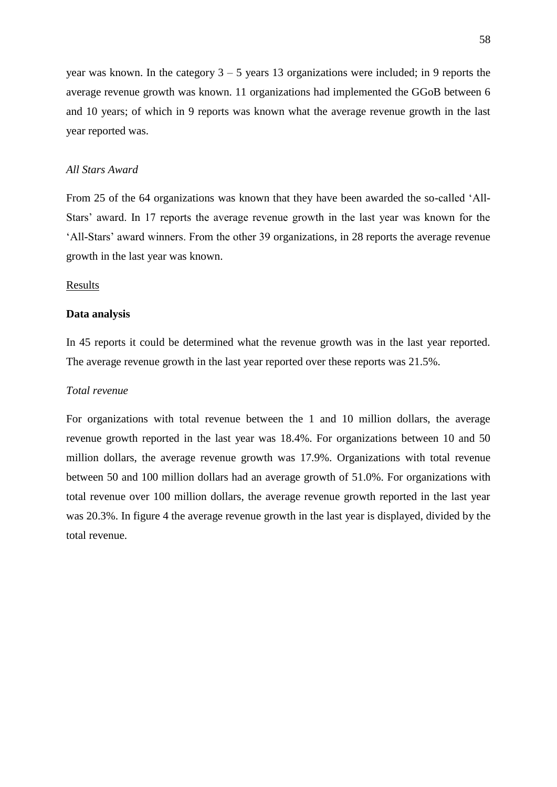year was known. In the category  $3 - 5$  years 13 organizations were included; in 9 reports the average revenue growth was known. 11 organizations had implemented the GGoB between 6 and 10 years; of which in 9 reports was known what the average revenue growth in the last year reported was.

## *All Stars Award*

From 25 of the 64 organizations was known that they have been awarded the so-called 'All-Stars' award. In 17 reports the average revenue growth in the last year was known for the ‗All-Stars' award winners. From the other 39 organizations, in 28 reports the average revenue growth in the last year was known.

## Results

#### **Data analysis**

In 45 reports it could be determined what the revenue growth was in the last year reported. The average revenue growth in the last year reported over these reports was 21.5%.

### *Total revenue*

For organizations with total revenue between the 1 and 10 million dollars, the average revenue growth reported in the last year was 18.4%. For organizations between 10 and 50 million dollars, the average revenue growth was 17.9%. Organizations with total revenue between 50 and 100 million dollars had an average growth of 51.0%. For organizations with total revenue over 100 million dollars, the average revenue growth reported in the last year was 20.3%. In figure 4 the average revenue growth in the last year is displayed, divided by the total revenue.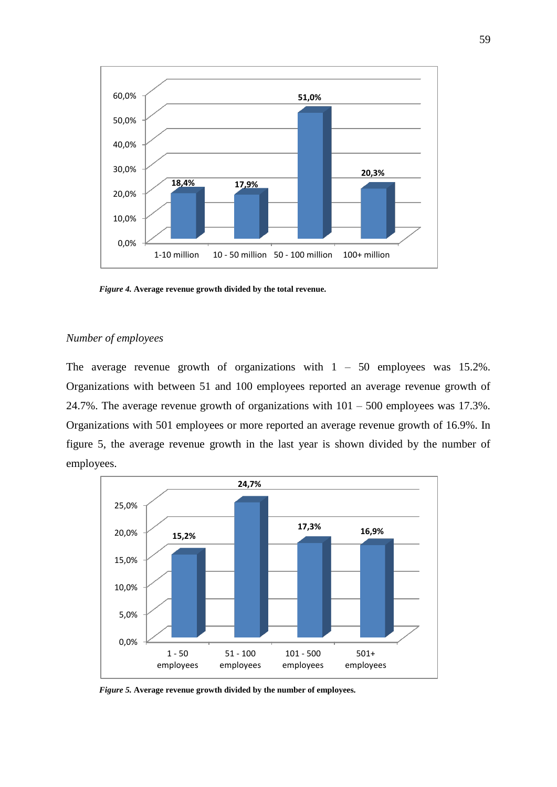

*Figure 4.* **Average revenue growth divided by the total revenue.**

## *Number of employees*

The average revenue growth of organizations with  $1 - 50$  employees was 15.2%. Organizations with between 51 and 100 employees reported an average revenue growth of 24.7%. The average revenue growth of organizations with  $101 - 500$  employees was 17.3%. Organizations with 501 employees or more reported an average revenue growth of 16.9%. In figure 5, the average revenue growth in the last year is shown divided by the number of employees.



*Figure 5.* **Average revenue growth divided by the number of employees.**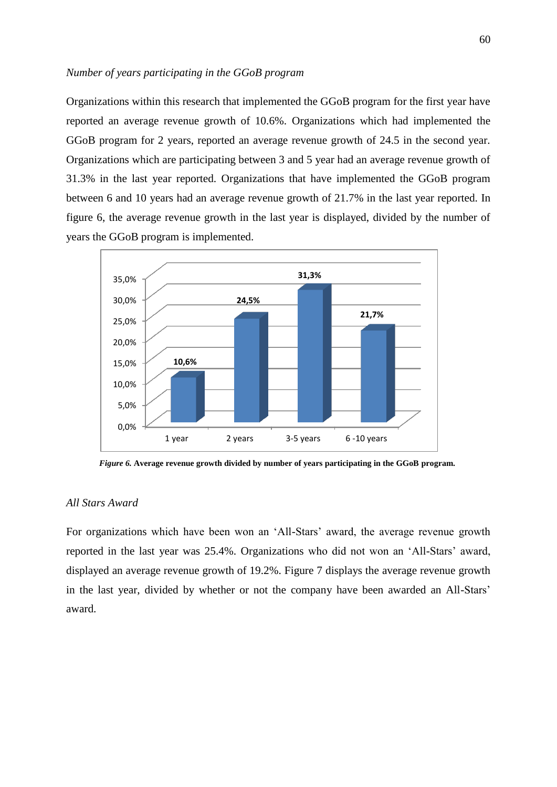## *Number of years participating in the GGoB program*

Organizations within this research that implemented the GGoB program for the first year have reported an average revenue growth of 10.6%. Organizations which had implemented the GGoB program for 2 years, reported an average revenue growth of 24.5 in the second year. Organizations which are participating between 3 and 5 year had an average revenue growth of 31.3% in the last year reported. Organizations that have implemented the GGoB program between 6 and 10 years had an average revenue growth of 21.7% in the last year reported. In figure 6, the average revenue growth in the last year is displayed, divided by the number of years the GGoB program is implemented.



*Figure 6.* **Average revenue growth divided by number of years participating in the GGoB program.**

## *All Stars Award*

For organizations which have been won an 'All-Stars' award, the average revenue growth reported in the last year was 25.4%. Organizations who did not won an 'All-Stars' award, displayed an average revenue growth of 19.2%. Figure 7 displays the average revenue growth in the last year, divided by whether or not the company have been awarded an All-Stars' award.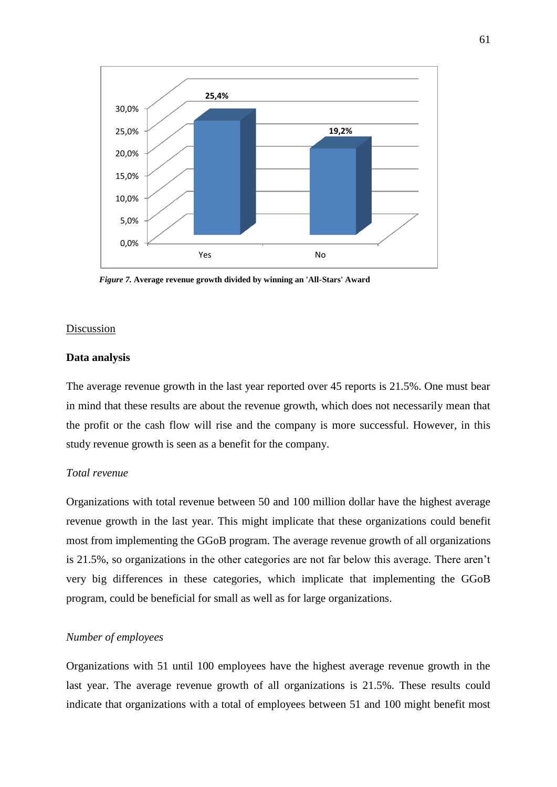

*Figure 7.* **Average revenue growth divided by winning an 'All-Stars' Award**

#### Discussion

#### **Data analysis**

The average revenue growth in the last year reported over 45 reports is 21.5%. One must bear in mind that these results are about the revenue growth, which does not necessarily mean that the profit or the cash flow will rise and the company is more successful. However, in this study revenue growth is seen as a benefit for the company.

### *Total revenue*

Organizations with total revenue between 50 and 100 million dollar have the highest average revenue growth in the last year. This might implicate that these organizations could benefit most from implementing the GGoB program. The average revenue growth of all organizations is 21.5%, so organizations in the other categories are not far below this average. There aren't very big differences in these categories, which implicate that implementing the GGoB program, could be beneficial for small as well as for large organizations.

## *Number of employees*

Organizations with 51 until 100 employees have the highest average revenue growth in the last year. The average revenue growth of all organizations is 21.5%. These results could indicate that organizations with a total of employees between 51 and 100 might benefit most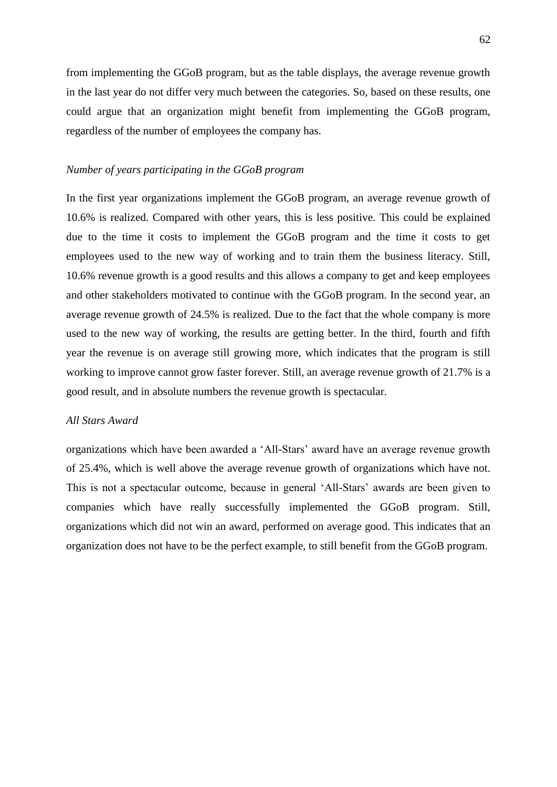from implementing the GGoB program, but as the table displays, the average revenue growth in the last year do not differ very much between the categories. So, based on these results, one could argue that an organization might benefit from implementing the GGoB program, regardless of the number of employees the company has.

## *Number of years participating in the GGoB program*

In the first year organizations implement the GGoB program, an average revenue growth of 10.6% is realized. Compared with other years, this is less positive. This could be explained due to the time it costs to implement the GGoB program and the time it costs to get employees used to the new way of working and to train them the business literacy. Still, 10.6% revenue growth is a good results and this allows a company to get and keep employees and other stakeholders motivated to continue with the GGoB program. In the second year, an average revenue growth of 24.5% is realized. Due to the fact that the whole company is more used to the new way of working, the results are getting better. In the third, fourth and fifth year the revenue is on average still growing more, which indicates that the program is still working to improve cannot grow faster forever. Still, an average revenue growth of 21.7% is a good result, and in absolute numbers the revenue growth is spectacular.

## *All Stars Award*

organizations which have been awarded a ‗All-Stars' award have an average revenue growth of 25.4%, which is well above the average revenue growth of organizations which have not. This is not a spectacular outcome, because in general ‗All-Stars' awards are been given to companies which have really successfully implemented the GGoB program. Still, organizations which did not win an award, performed on average good. This indicates that an organization does not have to be the perfect example, to still benefit from the GGoB program.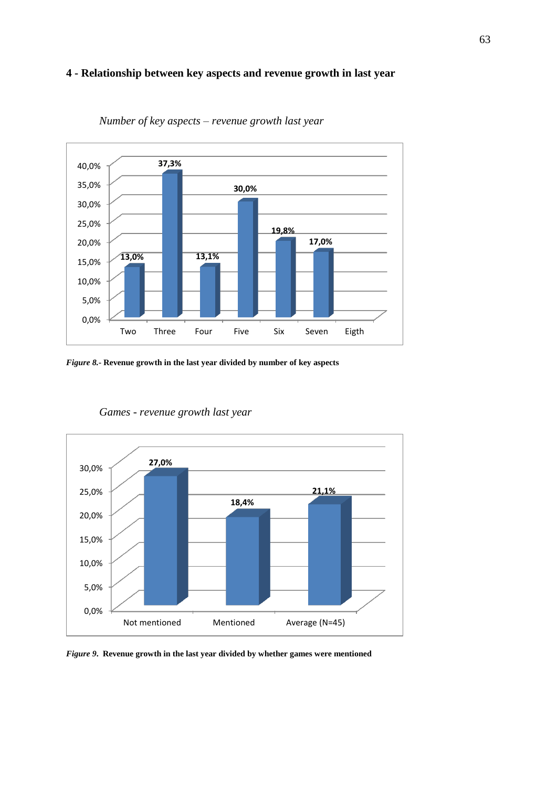## <span id="page-62-0"></span>**4 - Relationship between key aspects and revenue growth in last year**



*Number of key aspects – revenue growth last year*

*Figure 8.***- Revenue growth in the last year divided by number of key aspects**



*Games - revenue growth last year*

*Figure 9***. Revenue growth in the last year divided by whether games were mentioned**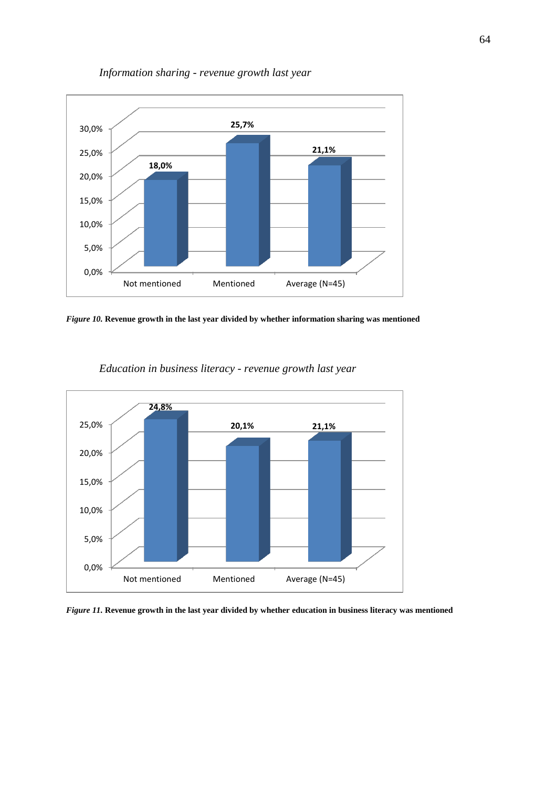

*Information sharing - revenue growth last year*

*Figure 10.* **Revenue growth in the last year divided by whether information sharing was mentioned**



*Education in business literacy - revenue growth last year*

*Figure 11.* **Revenue growth in the last year divided by whether education in business literacy was mentioned**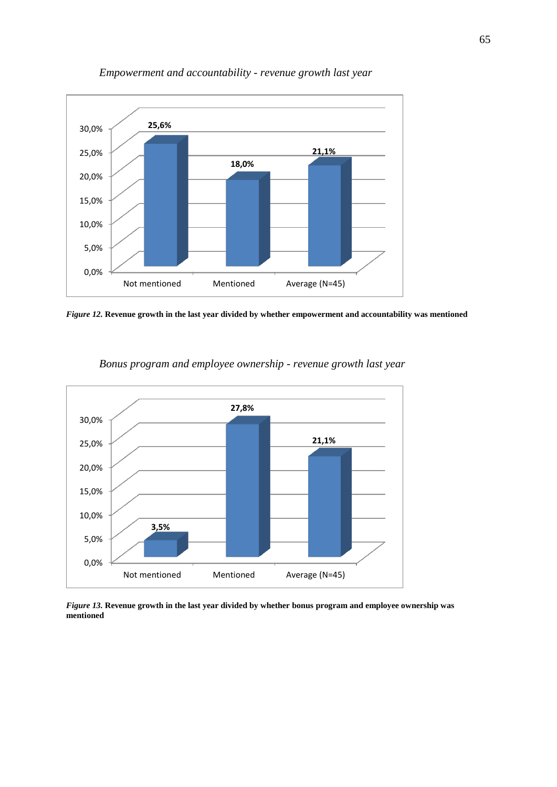

## *Empowerment and accountability - revenue growth last year*

*Figure 12.* **Revenue growth in the last year divided by whether empowerment and accountability was mentioned**



*Bonus program and employee ownership - revenue growth last year*

*Figure 13.* **Revenue growth in the last year divided by whether bonus program and employee ownership was mentioned**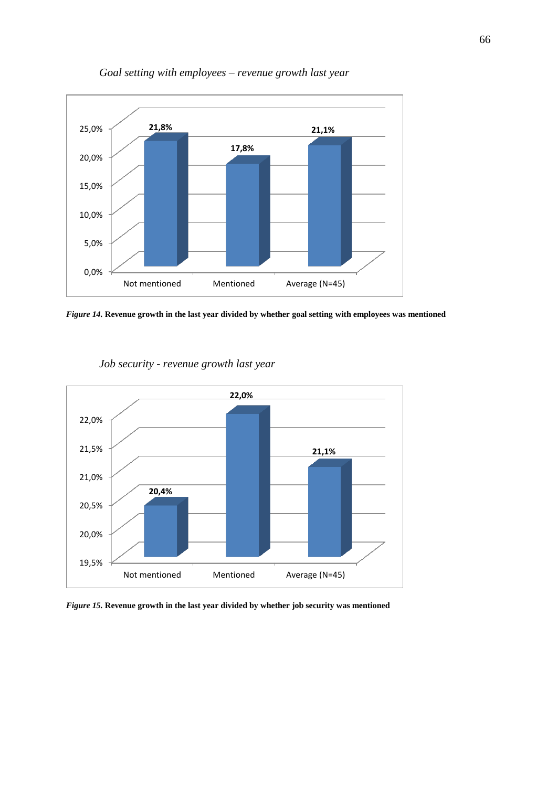

*Goal setting with employees – revenue growth last year*

*Figure 14.* **Revenue growth in the last year divided by whether goal setting with employees was mentioned**



*Job security - revenue growth last year*

*Figure 15.* **Revenue growth in the last year divided by whether job security was mentioned**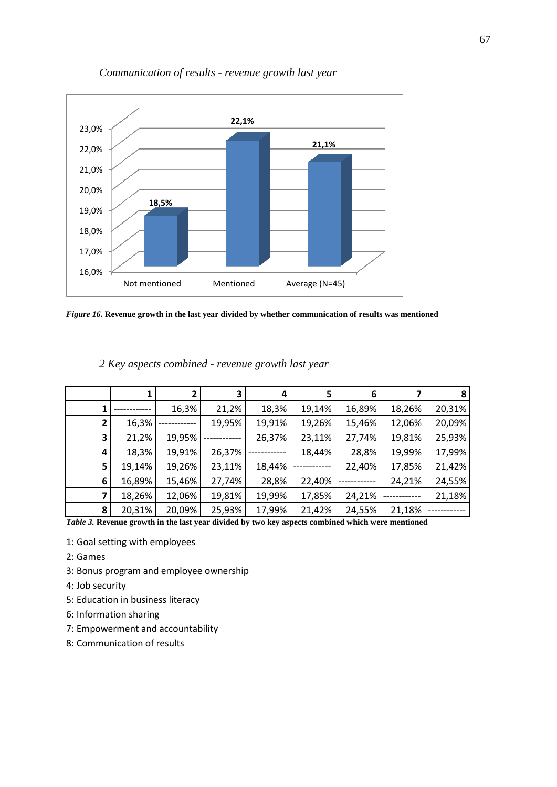

## *Communication of results - revenue growth last year*

*Figure 16.* **Revenue growth in the last year divided by whether communication of results was mentioned**

|   |        |        | 3      | 4      | 5      | 6      |        | 8      |
|---|--------|--------|--------|--------|--------|--------|--------|--------|
|   |        | 16,3%  | 21,2%  | 18,3%  | 19,14% | 16,89% | 18,26% | 20,31% |
| 2 | 16,3%  |        | 19,95% | 19,91% | 19,26% | 15,46% | 12,06% | 20,09% |
| 3 | 21,2%  | 19,95% |        | 26,37% | 23,11% | 27,74% | 19,81% | 25,93% |
| 4 | 18,3%  | 19,91% | 26,37% |        | 18,44% | 28,8%  | 19,99% | 17,99% |
| 5 | 19,14% | 19,26% | 23,11% | 18,44% |        | 22,40% | 17,85% | 21,42% |
| 6 | 16,89% | 15,46% | 27,74% | 28,8%  | 22,40% |        | 24,21% | 24,55% |
| 7 | 18,26% | 12,06% | 19,81% | 19,99% | 17,85% | 24,21% |        | 21,18% |
| 8 | 20,31% | 20,09% | 25,93% | 17,99% | 21,42% | 24,55% | 21,18% |        |

## *2 Key aspects combined - revenue growth last year*

*Table 3.* **Revenue growth in the last year divided by two key aspects combined which were mentioned**

- 1: Goal setting with employees
- 2: Games
- 3: Bonus program and employee ownership
- 4: Job security
- 5: Education in business literacy
- 6: Information sharing
- 7: Empowerment and accountability
- 8: Communication of results